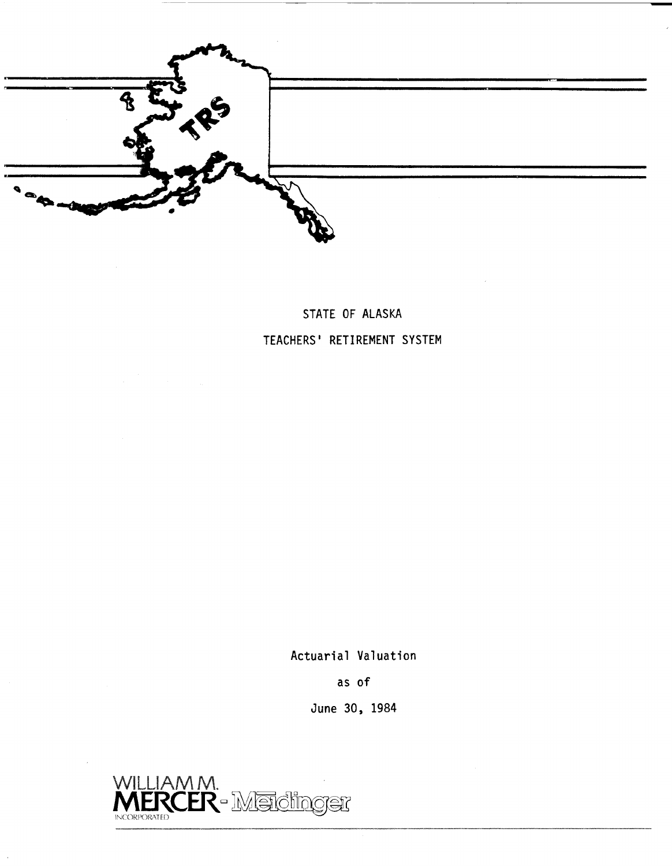

# **STATE OF ALASKA TEACHERS' RETIREMENT SYSTEM**

**Actuarial Valuation** 

**as of** 

**June 30, 1984** 

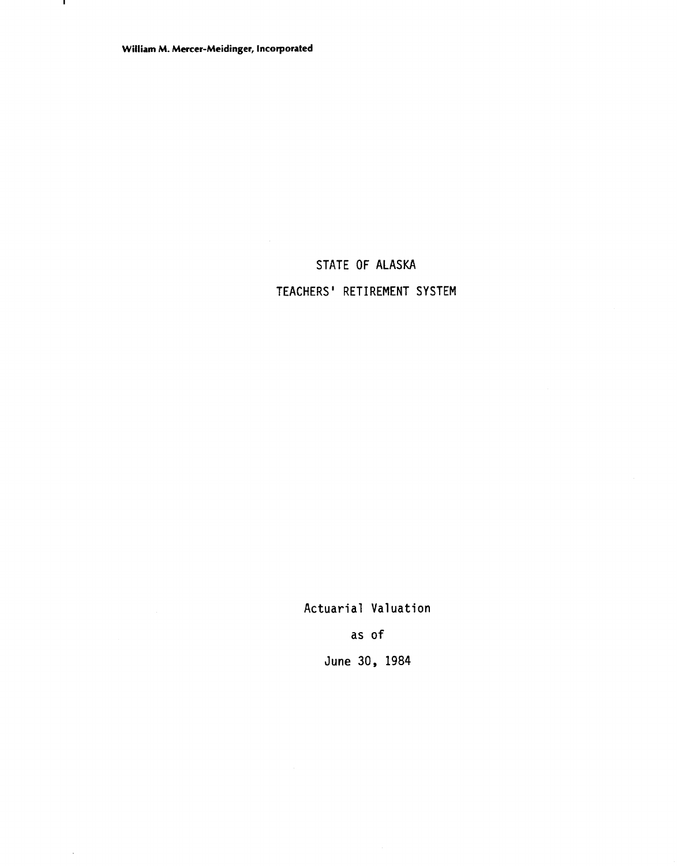$\mathbf{r}$ 

 $\ddot{\phantom{a}}$ 

# STATE OF ALASKA

# TEACHERS' RETIREMENT SYSTEM

Actuarial Valuation

as of

June 30, 1984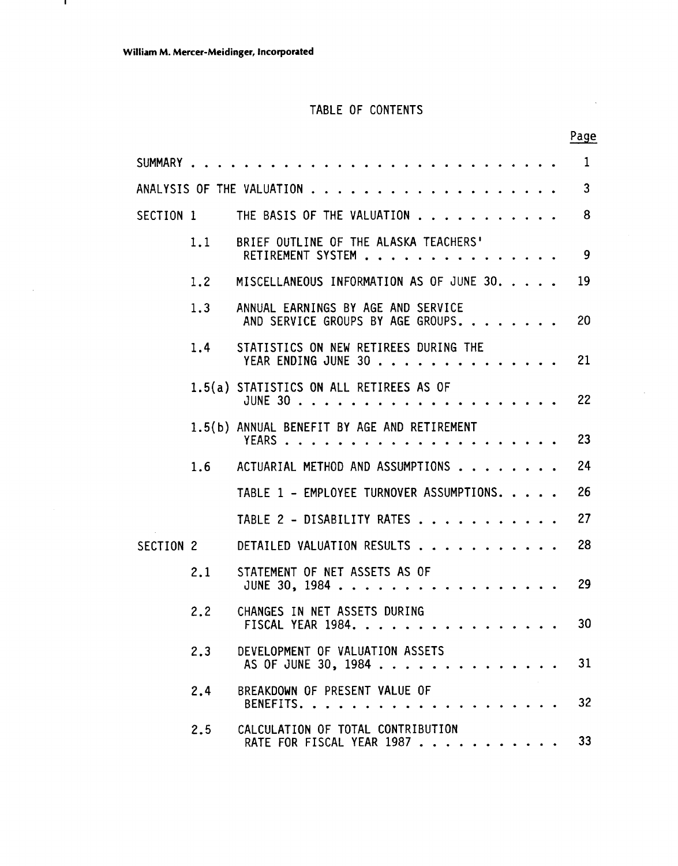$\mathbf{I}$ 

 $\sim$ 

# TABLE OF CONTENTS

**Page** 

 $\sim$ 

|           |     | $\mathbf 1$                                                                   |
|-----------|-----|-------------------------------------------------------------------------------|
|           |     | $\mathbf{3}$                                                                  |
|           |     | 8<br>SECTION 1 THE BASIS OF THE VALUATION                                     |
|           | 1.1 | BRIEF OUTLINE OF THE ALASKA TEACHERS'<br>RETIREMENT SYSTEM<br>9               |
|           | 1.2 | MISCELLANEOUS INFORMATION AS OF JUNE 30.<br>19                                |
|           | 1.3 | ANNUAL EARNINGS BY AGE AND SERVICE<br>20<br>AND SERVICE GROUPS BY AGE GROUPS. |
|           | 1.4 | STATISTICS ON NEW RETIREES DURING THE<br>YEAR ENDING JUNE 30<br>21            |
|           |     | 1.5(a) STATISTICS ON ALL RETIREES AS OF<br>22                                 |
|           |     | 1.5(b) ANNUAL BENEFIT BY AGE AND RETIREMENT<br>23                             |
|           |     | 24<br>1.6 ACTUARIAL METHOD AND ASSUMPTIONS                                    |
|           |     | 26<br>TABLE 1 - EMPLOYEE TURNOVER ASSUMPTIONS.                                |
|           |     | 27<br>TABLE 2 - DISABILITY RATES                                              |
| SECTION 2 |     | 28<br>DETAILED VALUATION RESULTS                                              |
|           | 2.1 | STATEMENT OF NET ASSETS AS OF<br>29<br>JUNE 30, 1984                          |
|           | 2.2 | CHANGES IN NET ASSETS DURING<br>30<br>FISCAL YEAR 1984.                       |
|           | 2.3 | DEVELOPMENT OF VALUATION ASSETS<br>31<br>AS OF JUNE 30, 1984                  |
|           | 2.4 | BREAKDOWN OF PRESENT VALUE OF<br>32<br>BENEFITS.                              |
|           | 2.5 | CALCULATION OF TOTAL CONTRIBUTION<br>33<br>RATE FOR FISCAL YEAR 1987          |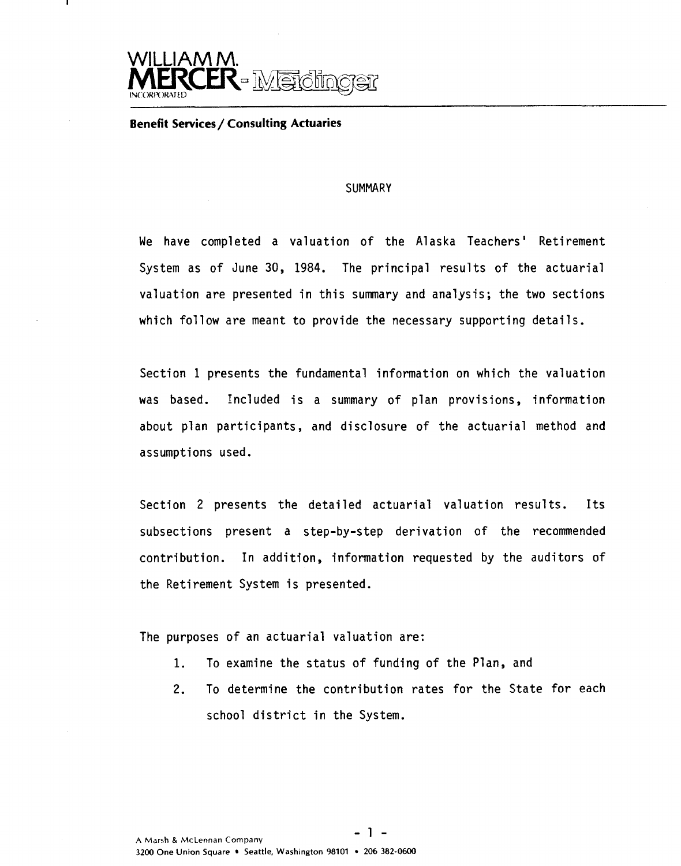

#### **Benefit Services/ Consulting Actuaries**

#### **SUMMARY**

We have completed a valuation of the Alaska Teachers' Retirement System as of June 30, 1984. The principal results of the actuarial valuation are presented in this summary and analysis; the two sections which follow are meant to provide the necessary supporting details.

Section 1 presents the fundamental information on which the valuation was based. Included is a summary of plan provisions, information about plan participants, and disclosure of the actuarial method and assumptions used.

Section 2 presents the detailed actuarial valuation results. Its subsections present a step-by-step derivation of the recommended contribution. In addition, information requested by the auditors of the Retirement System is presented.

The purposes of an actuarial valuation are:

- 1. To examine the status of funding of the Plan, and
- 2. To determine the contribution rates for the State for each school district in the System.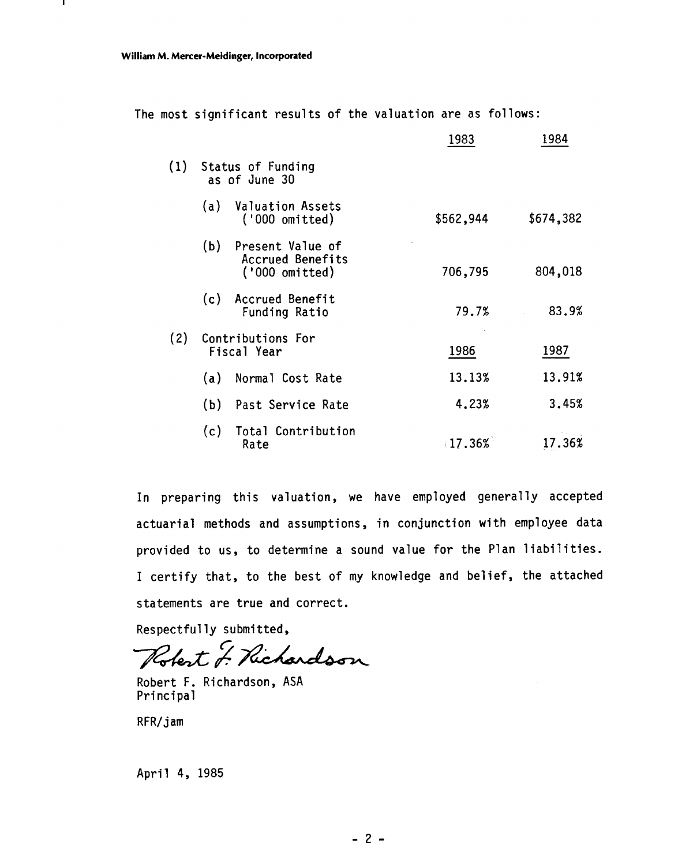л.

|     |     |                                                        | 1983      | 1984      |
|-----|-----|--------------------------------------------------------|-----------|-----------|
| (1) |     | Status of Funding<br>as of June 30                     |           |           |
|     | (a) | <b>Valuation Assets</b><br>('000 omitted)              | \$562,944 | \$674,382 |
|     | (b) | Present Value of<br>Accrued Benefits<br>('000 omitted) | 706,795   | 804,018   |
|     | (c) | Accrued Benefit<br>Funding Ratio                       | 79.7%     | 83.9%     |
| (2) |     | Contributions For<br>Fiscal Year                       | 1986      | 1987      |
|     | (a) | Normal Cost Rate                                       | 13.13%    | 13.91%    |
|     | (b) | Past Service Rate                                      | 4.23%     | 3.45%     |
|     | (c) | Total Contribution<br>Rate                             | 17.36%    | 17.36%    |

The most significant results of the valuation are as follows:

In preparing this valuation, we have employed generally accepted actuarial methods and assumptions, in conjunction with employee data provided to us, to determine a sound value for the Plan liabilities. I certify that, to the best of my knowledge and belief, the attached statements are true and correct.

Respectfully submitted,

Robert J. Richardson

Robert F. Richardson, ASA Principal

RFR/jam

April **4,** 1985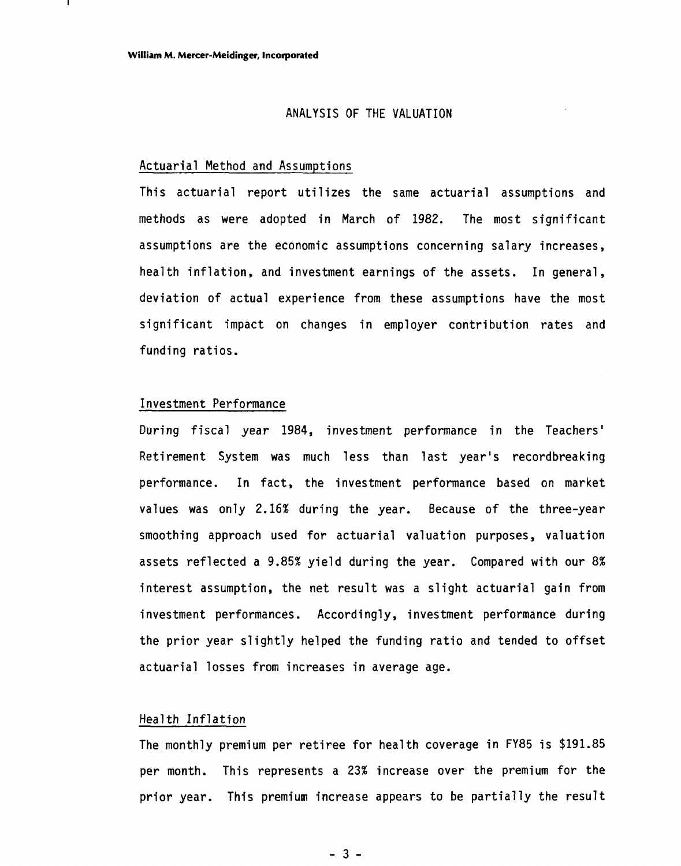#### ANALYSIS OF THE VALUATION

#### Actuarial Method and Assumptions

This actuarial report utilizes the same actuarial assumptions and methods as were adopted in March of 1982. The most significant assumptions are the economic assumptions concerning salary increases, health inflation, and investment earnings of the assets. In general, deviation of actual experience from these assumptions have the most significant impact on changes in employer contribution rates and funding ratios.

#### Inves tment Performance

During fiscal year 1984, investment performance in the Teachers' Retirement System was much less than last year's recordbreaking performance. In fact, the investment performance based on market values was only 2.16% during the year. Because of the three-year smoothing approach used for actuarial valuation purposes, valuation assets reflected a 9.85% yield during the year. Compared with our 8% interest assumption, the net result was a slight actuarial gain from investment performances. Accordingly, investment performance during the prior year slightly helped the funding ratio and tended to offset actuarial losses from increases in average age.

#### Health Inflation

The monthly premium per retiree for health coverage in FY85 is \$191.85 per month. This represents a 23% increase over the premium for the prior year. This premium increase appears to be partially the result

 $-3-$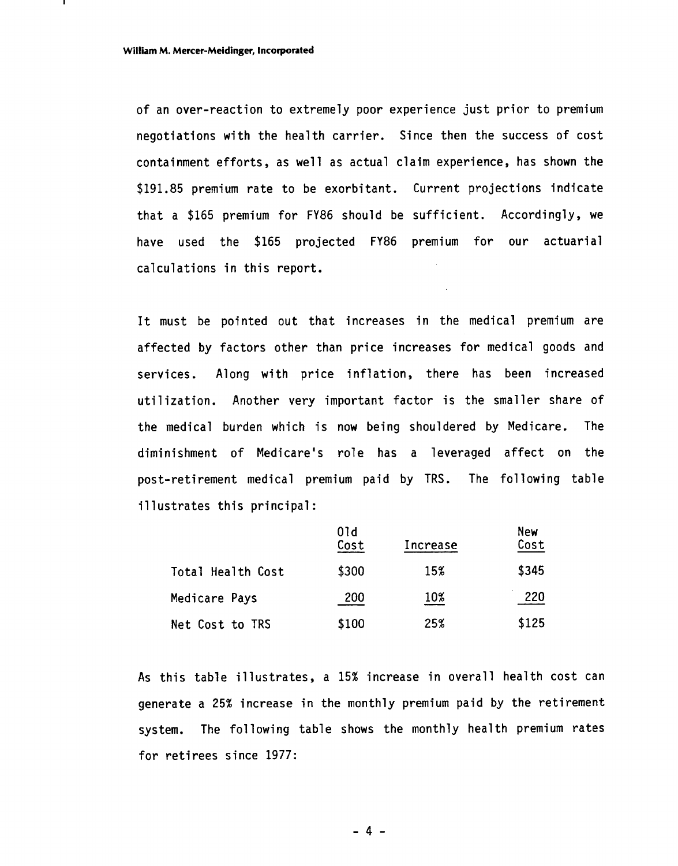of an over-reaction to extremely poor experience just prior to premium negotiations with the health carrier. Since then the success of cost containment efforts, as well as actual claim experience, has shown the \$191.85 premium rate to be exorbitant. Current projections indicate that a \$165 premium for FY86 should be sufficient. Accordingly, we have used the \$165 projected FY86 premium for our actuarial calculations in this report.

It must be pointed out that increases in the medical premium are affected by factors other than price increases for medical goods and services. Along with price inflation, there has been increased utilization. Another very important factor is the smaller share of the medical burden which is now being shouldered by Medicare. The diminishment of Medicare's role has a leveraged affect on the post-retirement medical premium paid by TRS. The following table<br>
illustrates this principal:<br>
Old<br>
Cost<br>
Total Health Cost<br>
Total Health Cost<br>
Total Health Cost<br>
S300<br>
15%<br>
S345 illustrates this principal:

|                   | 01d<br>Cost | Increase | New<br>Cost |
|-------------------|-------------|----------|-------------|
| Total Health Cost | \$300       | 15%      | \$345       |
| Medicare Pays     | 200         | 10%      | 220         |
| Net Cost to TRS   | \$100       | 25%      | \$125       |

As this table illustrates, a 15% increase in overall health cost can generate a 25% increase in the monthly premium paid by the retirement system. The following table shows the monthly health premium rates for retirees since 1977:

 $-4 -$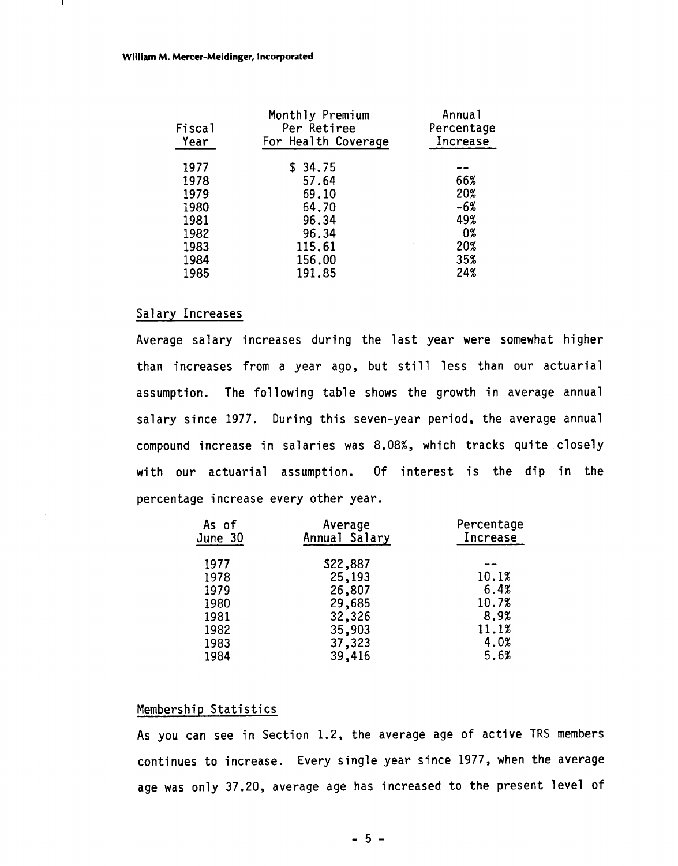#### **William M. Mercer-Meidinger, Incorporated**

| Fiscal<br>Year | Monthly Premium<br>Per Retiree<br>For Health Coverage | Annual<br>Percentage<br>Increase |
|----------------|-------------------------------------------------------|----------------------------------|
| 1977           | \$34.75                                               |                                  |
| 1978           | 57.64                                                 | 66%                              |
| 1979           | 69.10                                                 | 20%                              |
| 1980           | 64.70                                                 | $-6%$                            |
| 1981           | 96.34                                                 | 49%                              |
| 1982           | 96.34                                                 | 0%                               |
| 1983           | 115.61                                                | 20%                              |
| 1984           | 156.00                                                | 35%                              |
| 1985           | 191.85                                                | 24%                              |
|                |                                                       |                                  |

#### Salary Increases

Average salary increases during the last year were somewhat higher than increases from a year ago, but still less than our actuarial assumption. The following table shows the growth in average annual salary since 1977. During this seven-year period, the average annual compound increase in salaries was 8.08%, which tracks quite closely with our actuarial assumption. Of interest is the dip in the percentage increase every other year.

| As of<br>June 30 | Average<br>Annual Salary | Percentage<br>Increase |
|------------------|--------------------------|------------------------|
| 1977             | \$22,887                 |                        |
| 1978             | 25,193                   | 10.1%                  |
| 1979             | 26,807                   | 6.4%                   |
| 1980             | 29,685                   | 10.7%                  |
| 1981             | 32,326                   | 8.9%                   |
| 1982             | 35,903                   | 11.1%                  |
| 1983             | 37,323                   | 4.0%                   |
| 1984             | 39,416                   | 5.6%                   |

#### Membership Statistics

As you can see in Section 1.2, the average age of active TRS members continues to increase. Every single year since 1977, when the average age was only 37.20, average age has increased to the present level of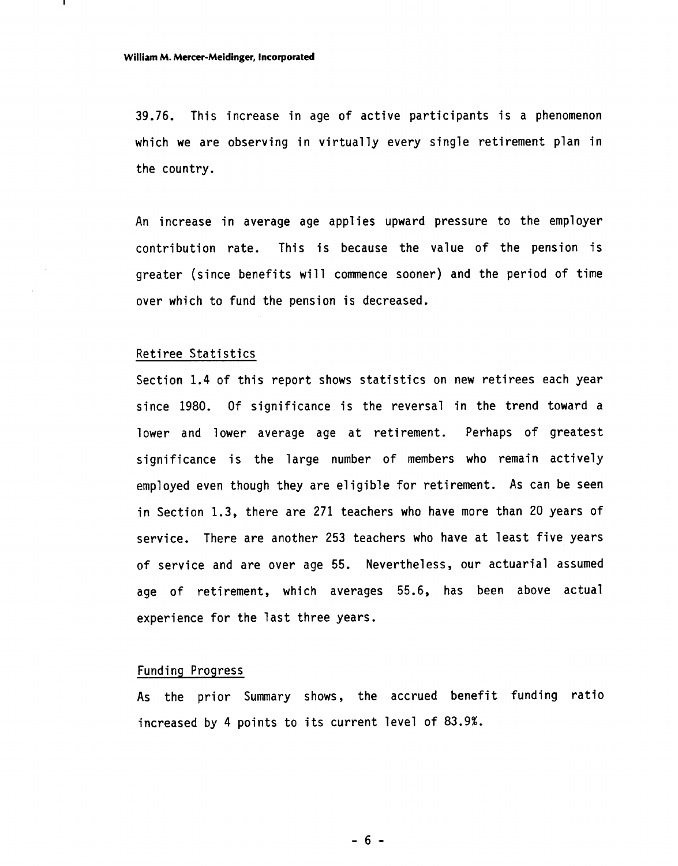39.76. This increase in age of active participants is a phenomenon which we are observing in virtually every single retirement plan in the country.

An increase in average age applies upward pressure to the employer contribution rate. This is because the value of the pension is greater (since benefits will commence sooner) and the period of time over which to fund the pension is decreased.

#### Retiree Statistics

Section 1.4 of this report shows statistics on new retirees each year since 1980. Of significance is the reversal in the trend toward a lower and lower average age at retirement. Perhaps of greatest significance is the large number of members who remain actively employed even though they are eligible for retirement. As can be seen in Section 1.3, there are 271 teachers who have more than 20 years of service. There are another 253 teachers who have at least five years of service and are over age 55. Nevertheless, our actuarial assumed age of retirement, which averages 55.6, has been above actual experience for the last three years.

#### Funding Progress

As the prior Summary shows, the accrued benefit funding ratio increased by 4 points to its current level of 83.9%.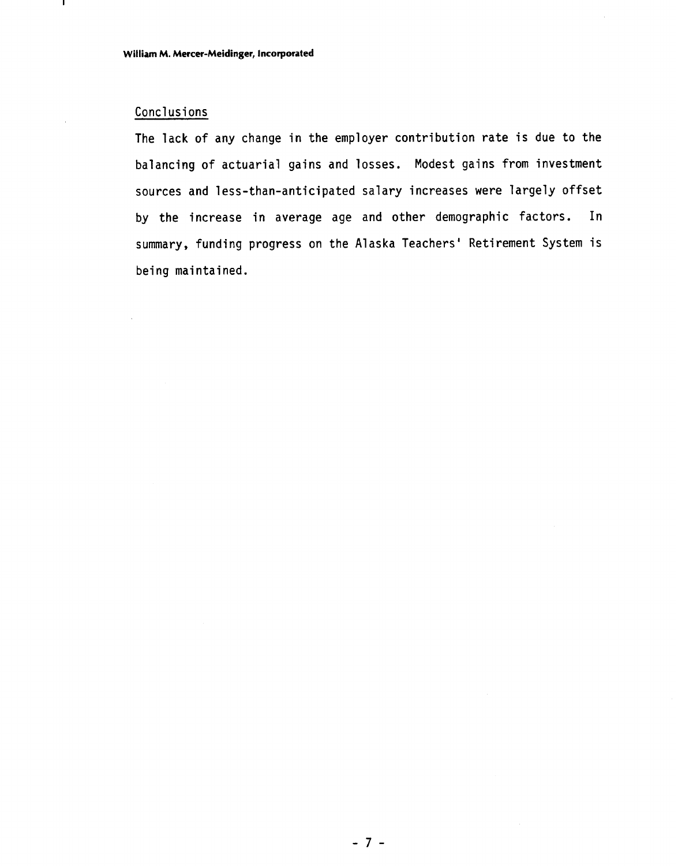# Conclusions

л.

The lack of any change in the employer contribution rate is due to the balancing of actuarial gains and losses. Modest gains from investment sources and less-than-anticipated salary increases were largely offset by the increase in average age and other demographic factors. In summary, funding progress on the Alaska Teachers' Retirement System is being maintained.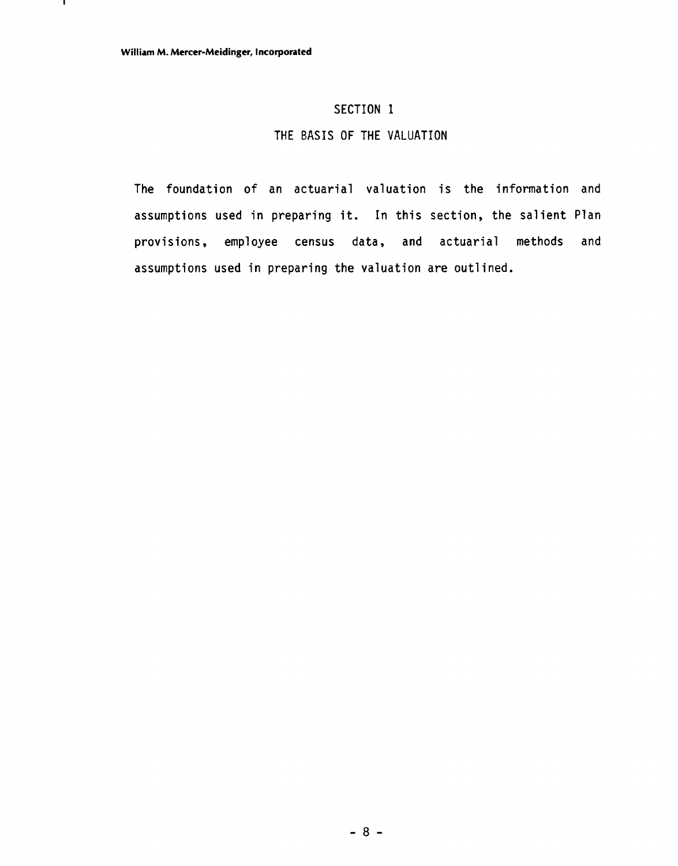.

## SECTION 1

## THE BASIS OF THE VALUATION

The foundation of an actuarial valuation is the information and assumptions used in preparing it. In this section, the salient Plan provisions, employee census data, and actuarial methods and assumptions used in preparing the valuation are outlined.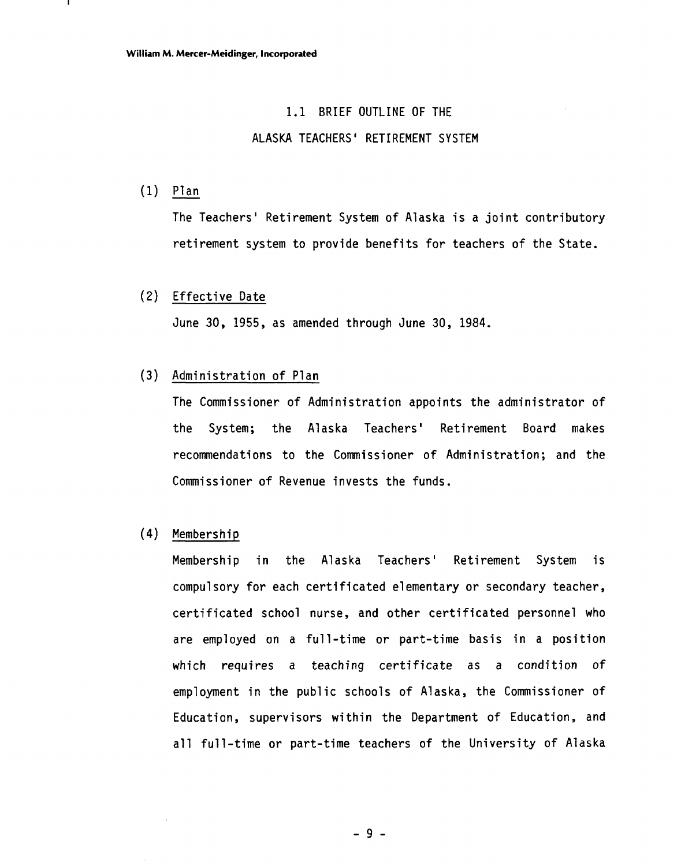# 1.1 BRIEF OUTLINE OF THE

#### ALASKA TEACHERS' RETIREMENT SYSTEM

(1)  $\frac{P1an}{P}$ 

The Teachers' Retirement System of Alaska is a joint contributory retirement system to provide benefits for teachers of the State.

#### (2) Effective Date

June 30, 1955, as amended through June 30, 1984.

#### (3) Administration of Plan

The Commissioner of Administration appoints the administrator of the System; the Alaska Teachers' Retirement Board makes recommendations to the Commissioner of Administration; and the Commissioner of Revenue invests the funds.

## **(4)** Membership

Membership in the Alaska Teachers' Retirement System is compulsory for each certificated elementary or secondary teacher, certificated school nurse, and other certificated personnel who are employed on a full-time or part-time basis in a position which requires a teaching certificate as a condition of employment in the public schools of Alaska, the Commissioner of Education, supervisors within the Department of Education, and all full-time or part-time teachers of the University of Alaska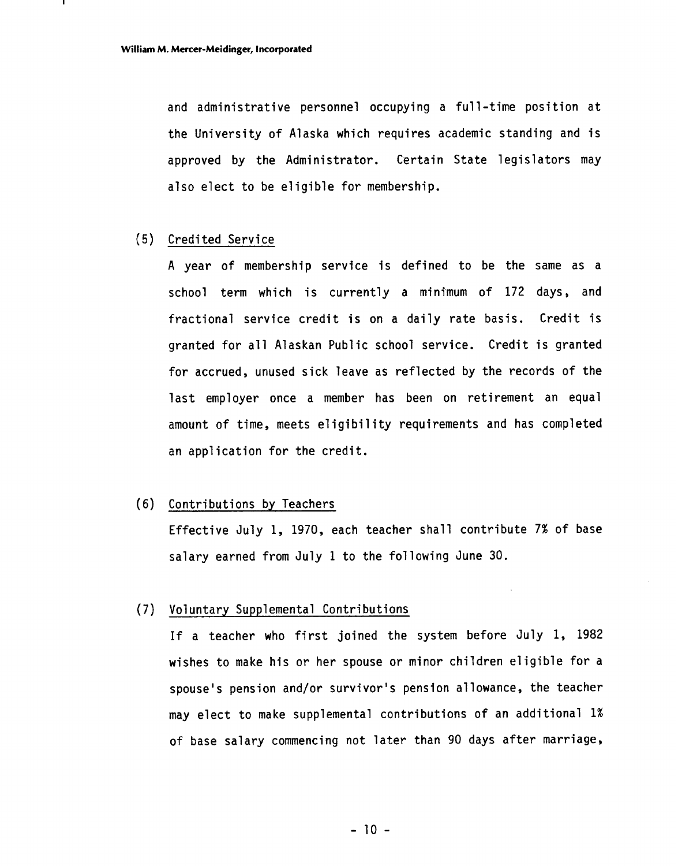and administrative personnel occupying a full-time position at the University of Alaska which requires academic standing and is approved by the Administrator. Certain State legislators may also elect to be eligible for membership.

#### (5) Credited Service

**A** year of membership service is defined to be the same as a school term which is currently a minimum of 172 days, and fractional service credit is on a daily rate basis. Credit is granted for all Alaskan Public school service. Credit is granted for accrued, unused sick leave as reflected by the records of the last employer once a member has been on retirement an equal amount of time, meets eligibility requirements and has completed an application for the credit.

#### (6) Contributions by Teachers

Effective July 1, 1970, each teacher shall contribute 7% of base salary earned from July 1 to the following June 30.

#### (7) Voluntary Supplemental Contributions

If a teacher who first joined the system before July 1, 1982 wishes to make his or her spouse or minor children eligible for a spouse's pension and/or survivor's pension allowance, the teacher may elect to make supplemental contributions of an additional 1% of base salary commencing not later than 90 days after marriage,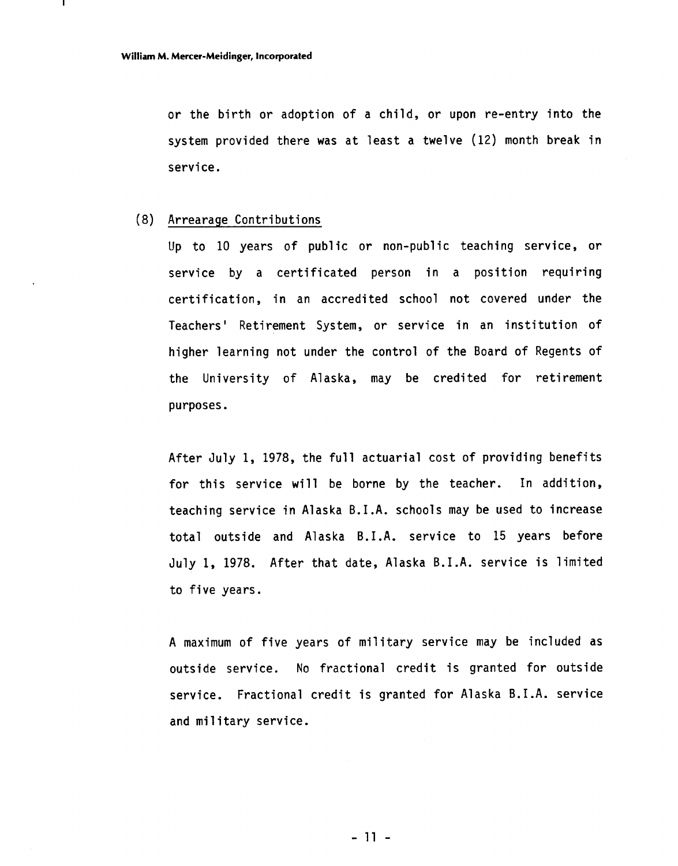or the birth or adoption of a child, or upon re-entry into the system provided there was at least a twelve (12) month break in service.

#### (8) Arrearage Contributions

Up to 10 years of public or non-public teaching service, or service by a certificated person in a position requiring certification, in an accredited school not covered under the Teachers' Retirement System, or service in an institution of higher learning not under the control of the Board of Regents of the University of Alaska, may be credited for retirement purposes.

After July 1, 1978, the full actuarial cost of providing benefits for this service will be borne by the teacher. In addition, teaching service in Alaska B.I.A. schools may be used to increase total outside and Alaska B.I.A. service to 15 years before July 1, 1978. After that date, Alaska B.I.A. service is limited to five years.

A maximum of five years of military service may be included as outside service. No fractional credit is granted for outside service. Fractional credit is granted for Alaska B.I.A. service and military service.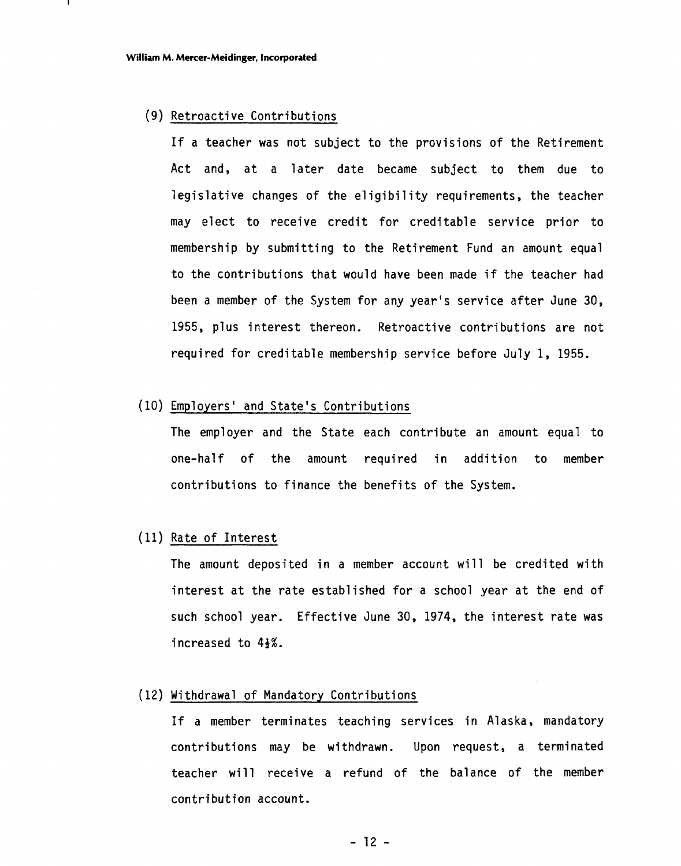#### (9) Retroactive Contributions

If a teacher was not subject to the provisions of the Retirement Act and, at a later date became subject to them due to legislative changes of the eligibility requirements, the teacher may elect to receive credit for creditable service prior to membership by submitting to the Retirement Fund an amount equal to the contributions that would have been made if the teacher had been a member of the System for any year's service after June 30, 1955, plus interest thereon. Retroactive contributions are not required for creditable membership service before July 1, 1955.

#### (10) Employers' and State's Contributions

The employer and the State each contribute an amount equal to one-half of the amount required in addition to member contributions to finance the benefits of the System.

#### (11) Rate of Interest

The amount deposited in a member account will be credited with interest at the rate established for a school year at the end of such school year. Effective June 30, 1974, the interest rate was increased to  $4\frac{1}{2}\%$ .

#### (12) Withdrawal of Mandatory Contributions

If a member terminates teaching services in Alaska, mandatory contributions may be withdrawn. Upon request, a terminated teacher will receive a refund of the balance of the member contribution account.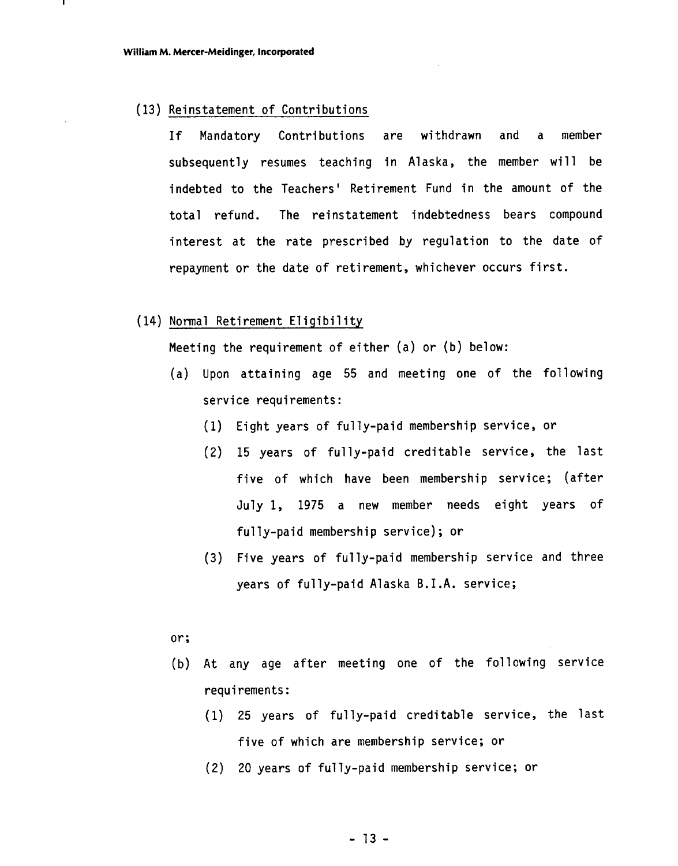#### ( 13) Reinstatement of Contributions

If Mandatory Contributions are withdrawn and a member subsequently resumes teaching in Alaska, the member will be indebted to the Teachers' Retirement Fund in the amount of the total refund. The reinstatement indebtedness bears compound interest at the rate prescribed by regulation to the date of repayment or the date of retirement, whichever occurs first.

#### (14) Normal Retirement Eligibility

Meeting the requirement of either (a) or (b) below:

- (a) Upon attaining age 55 and meeting one of the following service requirements:
	- (1) Eight years of fully-paid membership service, or
	- (2) 15 years of fully-paid creditable service, the last five of which have been membership service; (after July 1, 1975 a new member needs eight years of fully-paid membership service); or
	- (3) Five years of fully-paid membership service and three years of fully-paid Alaska B.I.A. service;

#### or;

- (b) At any age after meeting one of the following service requi rements :
	- (1) 25 years of fully-paid creditable service, the last five of which are membership service; or
	- (2) 20 years of fully-paid membership service; or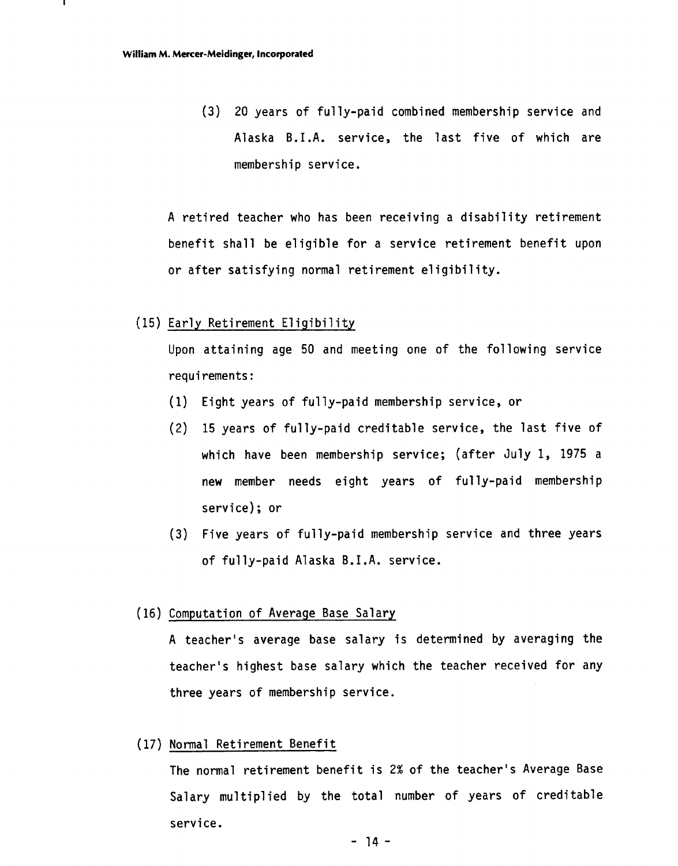(3) 20 years of fully-paid combined membership service and Alaska B.I.A. service, the last five of which are membership service.

A retired teacher who has been receiving a disability retirement benefit shall be eligible for a service retirement benefit upon or after satisfying normal retirement eligibility.

#### (15) Early Retirement Eligibility

Upon attaining age 50 and meeting one of the following service requi rements :

- (1) Eight years of fully-paid membership service, or
- (2) 15 years of fully-paid creditable service, the last five of which have been membership service; (after July 1, 1975 a new member needs eight years of fully-paid membership service) ; or
- (3) Five years of fully-paid membership service and three years of fully-paid Alaska B.I.A. service.

#### (16) Computation of Average Base Salary

A teacher's average base salary is determined by averaging the teacher's highest base salary which the teacher received for any three years of membership service.

#### (17) Normal Retirement Benefit

The normal retirement benefit is 2% of the teacher's Average Base Salary multiplied by the total number of years of creditable service.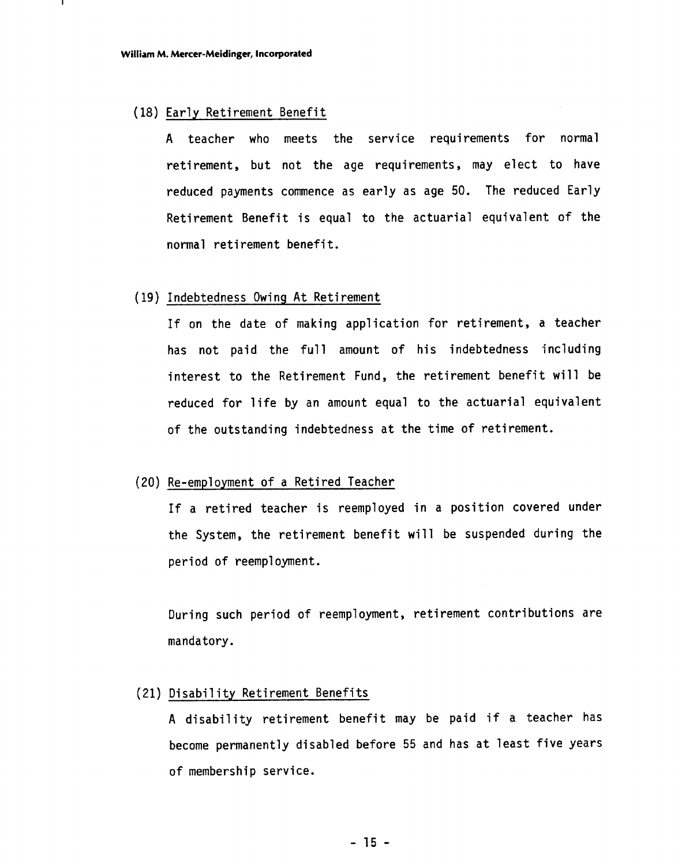#### (18) Early Retirement Benefit

A teacher who meets the service requirements for normal retirement, but not the age requirements, may elect to have reduced payments commence as early as age 50. The reduced Early Retirement Benefit is equal to the actuarial equivalent of the normal retirement benefit.

#### ( 19) Indebtedness Owing At Retirement

If on the date of making application for retirement, a teacher has not paid the full amount of his indebtedness including interest to the Retirement Fund, the retirement benefit will be reduced for life by an amount equal to the actuarial equivalent of the outstanding indebtedness at the time of retirement.

#### (20) Re-employment of a Retired Teacher

If a retired teacher is reemployed in a position covered under the System, the retirement benefit will be suspended during the period of reemployment.

During such period of reemployment, retirement contributions are mandatory.

## (21) Disability Retirement Benefits

A disability retirement benefit may be paid if a teacher has become permanently disabled before 55 and has at least five years of membership service.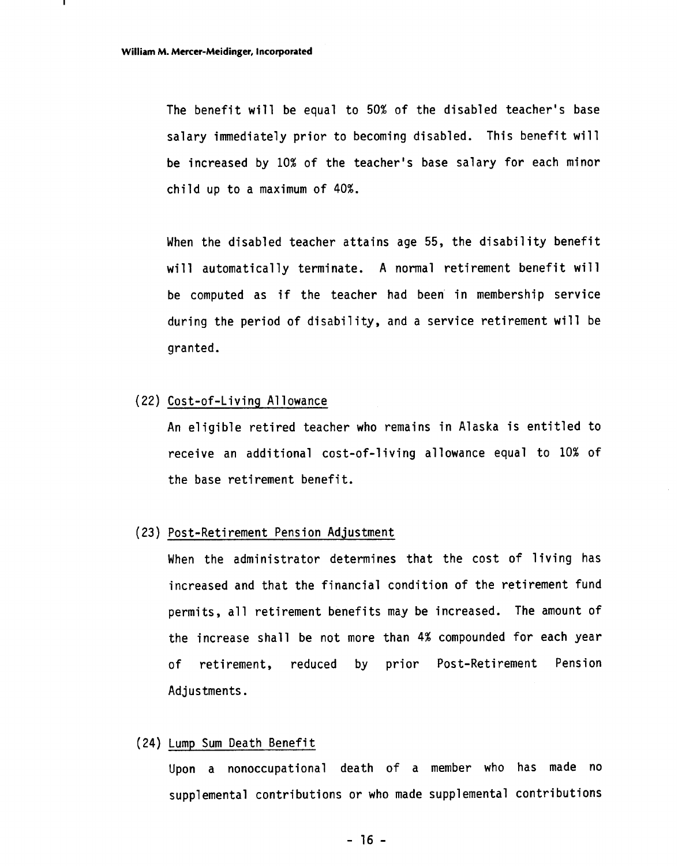The benefit will be equal to 50% of the disabled teacher's base salary immediately prior to becoming disabled. This benefit will be increased by 10% of the teacher's base salary for each minor child up to a maximum of 40%.

When the disabled teacher attains age 55, the disability benefit will automatically terminate. A normal retirement benefit will be computed as if the teacher had been' in membership service during the period of disability, and a service retirement will be granted.

#### (22) Cost-of-Living Allowance

An eligible retired teacher who remains in Alaska is entitled to receive an additional cost-of-living allowance equal to 10% of the base retirement benefit.

#### (23) Post-Reti rement Pension Adjustment

When the administrator determines that the cost of living has increased and that the financial condition of the retirement fund permits, all retirement benefits may be increased. The amount of the increase shall be not more than **4%** compounded for each year of retirement, reduced by prior Post-Retirement Pension Adjustments.

#### (24) Lump Sum Death Benefit

Upon a nonoccupational death of a member who has made no supplemental contributions or who made supplemental contributions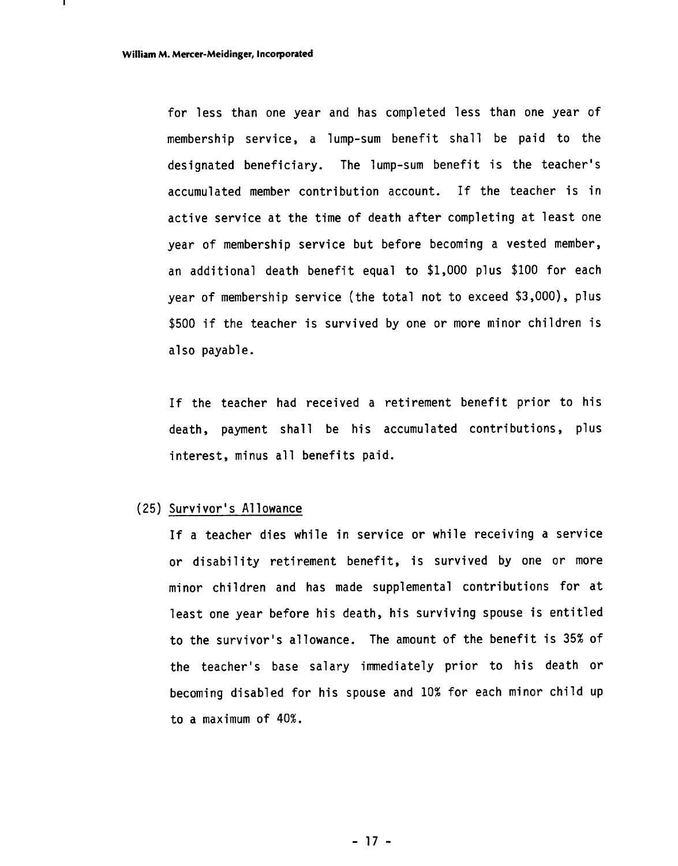for less than one year and has completed less than one year of membership service, a lump-sum benefit shall be paid to the designated beneficiary. The lump-sum benefit is the teacher's accumulated member contribution account. If the teacher is in active service at the time of death after completing at least one year of membership service but before becoming a vested member, an additional death benefit equal to \$1,000 plus \$100 for each year of membership service (the total not to exceed \$3,000), plus \$500 if the teacher is survived by one or more minor children is also payable.

If the teacher had received a retirement benefit prior to his death, payment shall be his accumulated contributions, plus interest, minus all benefits paid.

#### (25) Survivor's Allowance

If a teacher dies while in service or while receiving a service or disability retirement benefit, is survived by one or more minor children and has made supplemental contributions for at least one year before his death, his surviving spouse is entitled to the survivor's allowance. The amount of the benefit is 35% of the teacher's base salary immediately prior to his death or becoming disabled for his spouse and 10% for each minor child up to a maximum of 40%.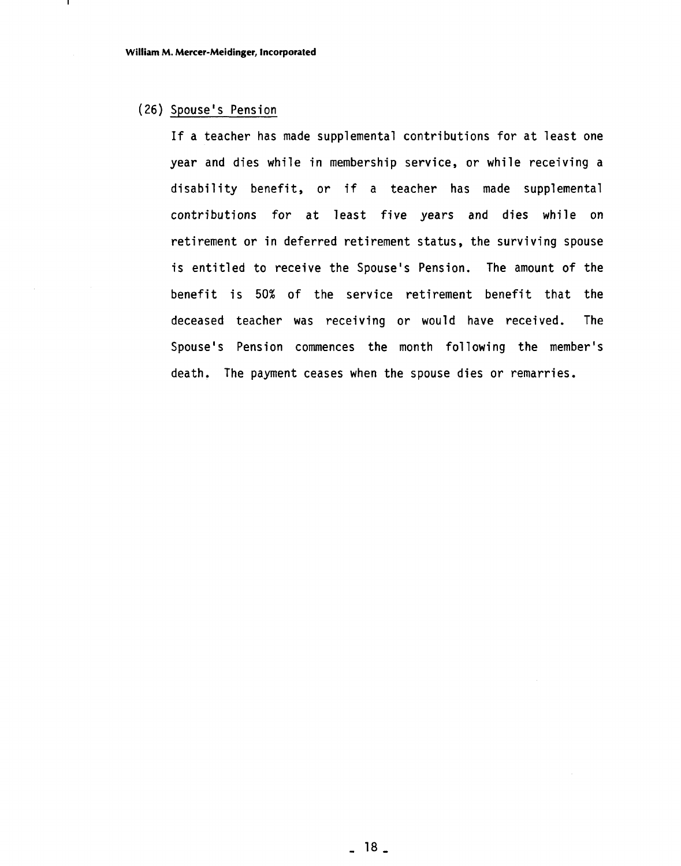#### (26) Spouse's Pension

If a teacher has made supplemental contributions for at least one year and dies while in membership service, or while receiving a disability benefit, or if a teacher has made supplemental contributions for at least five years and dies while on retirement or in deferred retirement status, the surviving spouse is entitled to receive the Spouse's Pension. The amount of the benefit is 50% of the service retirement benefit that the deceased teacher was receiving or would have received. The Spouse's Pension commences the month following the member's death. The payment ceases when the spouse dies or remarries.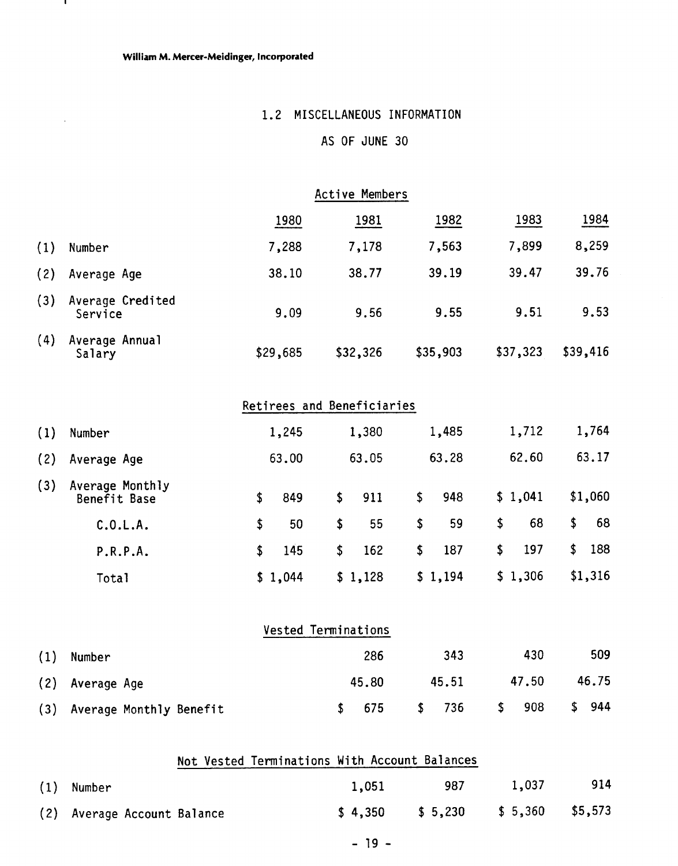$\mathbf{I}$ 

 $\sim$   $\sim$ 

# 1.2 MISCELLANEOUS INFORMATION

# AS OF JUNE 30

|     |                             |          | <b>Active Members</b> |          |          |          |
|-----|-----------------------------|----------|-----------------------|----------|----------|----------|
|     |                             | 1980     | 1981                  | 1982     | 1983     | 1984     |
| (1) | Number                      | 7,288    | 7,178                 | 7,563    | 7,899    | 8,259    |
| (2) | Average Age                 | 38.10    | 38.77                 | 39.19    | 39.47    | 39.76    |
| (3) | Average Credited<br>Service | 9.09     | 9.56                  | 9.55     | 9.51     | 9.53     |
| (4) | Average Annual<br>Salary    | \$29,685 | \$32,326              | \$35,903 | \$37,323 | \$39,416 |

|     |                                 |    | Retirees and Beneficiaries |           |           |           |           |
|-----|---------------------------------|----|----------------------------|-----------|-----------|-----------|-----------|
| (1) | Number                          |    | 1,245                      | 1,380     | 1,485     | 1,712     | 1,764     |
| (2) | Average Age                     |    | 63.00                      | 63.05     | 63.28     | 62.60     | 63.17     |
| (3) | Average Monthly<br>Benefit Base | S. | 849                        | \$<br>911 | \$<br>948 | \$1,041   | \$1,060   |
|     | C.0.L.A.                        | \$ | 50                         | \$<br>55  | \$<br>59  | \$<br>68  | \$<br>68  |
|     | P.R.P.A.                        | S. | 145                        | \$<br>162 | \$<br>187 | \$<br>197 | \$<br>188 |
|     | Total                           |    | \$1,044                    | \$1,128   | \$1,194   | \$1,306   | \$1,316   |

|     | Vested Terminations     |       |           |           |           |  |
|-----|-------------------------|-------|-----------|-----------|-----------|--|
| (1) | Number                  | 286   | 343       | 430       | 509       |  |
| (2) | Average Age             | 45.80 | 45.51     | 47.50     | 46.75     |  |
| (3) | Average Monthly Benefit | 675   | 736<br>S. | 908<br>\$ | 944<br>\$ |  |

|     | Not Vested Terminations With Account Balances |         |         |                   |     |
|-----|-----------------------------------------------|---------|---------|-------------------|-----|
| (1) | Number                                        | 1,051   | 987     | 1,037             | 914 |
|     | (2) Average Account Balance                   | \$4.350 | \$5,230 | $$5,360$ $$5,573$ |     |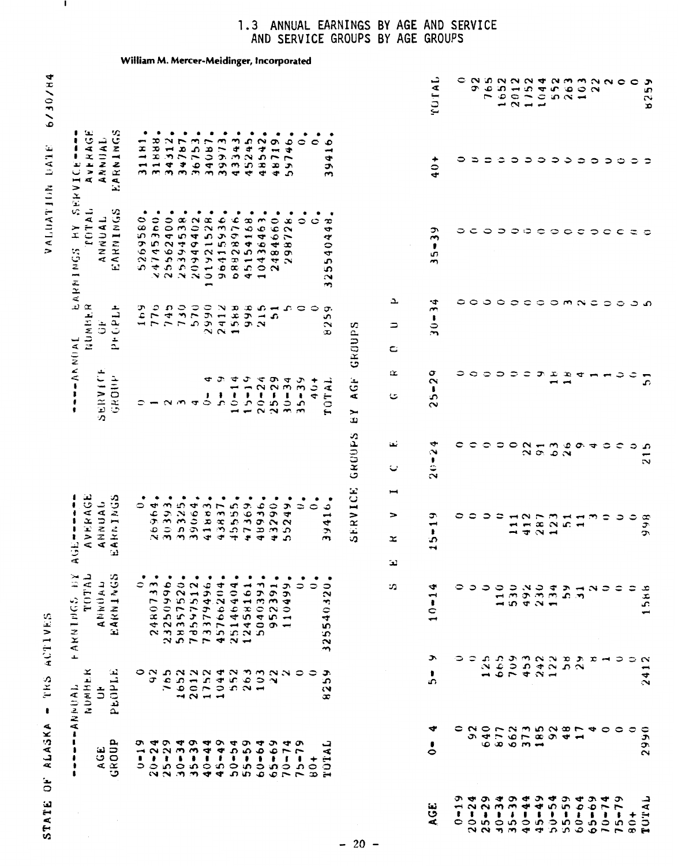# STATE OF ALASKA - TRS ACTIVES

VALUATION DATE 6/30/84

Ι.

| William M. Mercer-Meidinger, Incorporated                                                                                                                                                                                                                                                                                                                                                                                                                                                                 | <b>TATUT</b><br>c N in N N N N N M N N O O<br>$20134$<br>$1044$<br>$1045$<br>Ĉ<br>$\begin{smallmatrix}6\\ 5\end{smallmatrix}$<br>Ģ<br>$\circ$<br>$\sim$<br>$30 \times -$<br>$\rightarrow$                                                                             | ্স<br>in<br>L,<br>x                                                              |
|-----------------------------------------------------------------------------------------------------------------------------------------------------------------------------------------------------------------------------------------------------------------------------------------------------------------------------------------------------------------------------------------------------------------------------------------------------------------------------------------------------------|-----------------------------------------------------------------------------------------------------------------------------------------------------------------------------------------------------------------------------------------------------------------------|----------------------------------------------------------------------------------|
| AVERAGE<br>ANNUAL<br>ARNINGS<br>٠<br>$\bullet$<br>$\bullet$<br>$\bullet$<br>$\bullet$<br>$\bullet$<br>$\bullet$<br>٠<br>٠<br>٠<br>٠<br>,<br>24312<br>547575743<br>5475767586<br>5407784566<br>$45$<br>$42$<br>46<br>ç<br>O<br>$\circ$<br>Ó<br>$\mathbf{I}$<br>$\overline{ }$<br>$\overline{\phantom{a}}$<br>$\mathbf{\tilde{z}}$<br>S.<br>$\overline{\phantom{0}}$<br>$\overline{ }$<br>4<br>SERVICE<br>$- -$<br>45<br>$\frac{3}{4}$<br>48<br>J.<br>c<br>m, m<br>ഹ<br>$\mathbf{r}$<br>$\ddot{\mathbf{r}}$ | $40 +$<br>っ<br>⋍<br>≎<br>$\circ$<br>$\Rightarrow$<br>$\circ$<br>555<br>0<br>$\circ$ $\circ$                                                                                                                                                                           | ు<br>≎                                                                           |
| <b>COTAL</b><br>ARNINGS<br>٠<br>٠<br>٠<br>٠<br>٠<br>ANNUAL<br>580<br>360<br>400<br>538<br>402<br>$\infty$<br>C<br>٥<br>$\infty$<br>YН<br>$\sim$<br>4<br>$\overline{ }$<br>4<br>45<br>ç<br>$\infty$<br>$\circ$<br>ARNINGS<br>$\bullet$<br>$\infty$ $\infty$<br>$\blacktriangledown$<br>$rac{2}{4}$<br>7N<br>55<br>$\mathbf{L}$<br>$\sim$<br>$\mathbf{r}$<br>$\overline{\phantom{0}}$                                                                                                                       | ٩<br>c<br>٥<br>$\overline{\phantom{a}}$<br>$\circ \circ \circ$<br>$\circ \circ \circ$<br>$\circ$<br>$\mathbf C$<br>$\tilde{\phantom{a}}$<br>,<br>ω<br>$\rightarrow$                                                                                                   | $\mathbf C$<br>င္း                                                               |
| ىد<br>$\omega$<br>NUMBER<br>しててていいことはないですというといいことがいきます。<br>しょといいようないよう<br>しょういいしょうちょう<br>$\mathbf{L}$<br>ာ<br>≎<br>σ,<br>c<br>S<br>بع<br>ت<br>$-77$<br>$\ddot{\sigma}$<br>$\sim$<br>GROUPS<br>0<br>C.<br>$\ddot{z}$<br>C                                                                                                                                                                                                                                                                                  | $30 - 34$<br><b>COCCOMNC</b><br>د<br>≎<br>$\Rightarrow$                                                                                                                                                                                                               | ೦<br>م ت                                                                         |
| $-1$<br><b>SERVICE</b><br>Q.<br>GROUP<br>ج<br>$10 - 14$<br>$15 - 19$<br><b>AGF</b><br>¢<br>$20 - 24$<br>$25 - 29$<br>$30 - 34$<br>$35 - 39$<br>$40+$<br><b>OTAL</b><br>٠<br>U<br>$\mathbf{r}$<br>$\sim$ $\sim$ $\sim$<br>$\overline{\phantom{a}}$<br>RΑ                                                                                                                                                                                                                                                   | σ<br>っ<br>0<br>$\mathbf{C}$<br>೦<br>ᡔ<br>x<br>D G<br>$\overline{\phantom{0}}$<br>$\overline{\phantom{a}}$<br>$\bar{\mathbf{c}}$<br>$\rightarrow$<br>$\blacksquare$<br>$\pmb{\ast}$<br>S.<br>$\sim$                                                                    | م                                                                                |
| <b>GRUUPS</b><br>ثعا<br>ر،<br>I                                                                                                                                                                                                                                                                                                                                                                                                                                                                           | $20 - 24$<br>$\frac{1}{2}$<br>$\frac{1}{2}$<br>$\frac{1}{2}$<br>$\frac{1}{2}$<br>$\frac{1}{2}$<br>$\frac{1}{2}$<br>$\frac{1}{2}$<br>$\frac{1}{2}$<br>$\frac{1}{2}$<br>$\frac{1}{2}$<br>$\frac{1}{2}$<br>$\frac{1}{2}$<br>$\frac{1}{2}$<br>٥<br>$\sigma$ $\sigma$<br>≎ | $\mathbf{\hat{c}}$<br>၁<br>ာ<br>$\overline{\phantom{0}}$<br>$\mathbf{\tilde{c}}$ |
| SERVICE<br>AVERAGE<br>ANNUAL<br>AKNINGS<br>36.<br>$\bullet$<br>٠<br>٠<br>٠<br>٠<br>ŧ<br>290<br>P<br>≎<br>$\circ$<br>$\frac{6}{1}$<br>$\overline{\mathbf{r}}$<br>$\Rightarrow$<br>$\frac{9}{2}$<br>\$<br>$\sim$<br>ო :ი<br>$\ddot{\phantom{0}}$<br>$\ddot{\phantom{0}}$<br>$\mathbf{\hat{z}}$<br>ഹ<br>x<br>$\ddot{\mathbf{r}}$<br>ίzΣ<br>4                                                                                                                                                                 | Φ<br>0<br>0<br>$\rightarrow \infty$<br>$\frac{33}{22}$<br>$\frac{33}{4}$<br>$\frac{11}{4}$<br>$\Rightarrow$<br>$5 - 1$<br>$\ddot{•}$<br>$\ddot{}$<br>$\rightarrow$<br>$\ddot{}$                                                                                       | ≎<br>866                                                                         |
| ند<br><b>FARNINGS BY</b><br>TOTAL<br>ARNINGS<br>٠<br>٠<br>٠<br>ANNWAL<br>٥<br>23250996<br>58357520<br>78597512<br>783764964<br>45766204<br>$\rightarrow$<br>25146404<br>391<br>$\frac{1}{2}$<br>ς<br>S.<br>Ł<br>$\overline{ }$<br>◀<br>₩<br>$\frac{6}{x}$<br>$\sim$<br>$\circ$<br>$\frac{1}{4}$<br>S<br>$\overline{\phantom{0}}$<br>42<br>G<br>S.<br>$\overline{\phantom{0}}$<br>$\mathbf{L}$<br>$\sim$ $\sim$<br>Ċ.<br>$\sim$ $\sim$<br>$\mathbf{\tilde{c}}$                                             | ₩<br>≎<br>၁ ၁<br>$10 - 1$                                                                                                                                                                                                                                             | ≎<br>≂<br>1586                                                                   |
| ∽<br>≆<br>$\mathbf{r}$<br>ON DNNN TN DANNOC<br>J.<br>PEOPL<br>$1011400$<br>$104000$<br>$10400$<br>$\mathbf{r}$<br>σ<br>NUMHE<br>560<br>$\boldsymbol{\sim}$<br>٠<br>$  A N + 1 - 1$<br>$\ddot{5}$<br>্যে<br>œ                                                                                                                                                                                                                                                                                              | J.<br>≎<br>من                                                                                                                                                                                                                                                         | $\mathbf{\tilde{N}}$<br>$\overline{\phantom{0}}$<br>4<br>$\mathbf{\tilde{N}}$    |
| AGE<br>GROUP<br>ᡡ<br>$-24$<br><b>404</b><br>$\bullet$<br>$59 - 54$<br>55-59<br>$-64$<br>ෑ<br>ᡡ<br>JA<br>1<br>$20 - 3 - 3 - 4$<br>$25 - 3 - 5 - 4$<br>$27 - 3 - 5 - 4$<br>$37 - 3 - 4$<br>$\ddot{\bullet}$<br>$70 - 7.$<br>$\rightarrow$<br>$\cdot$<br>$\blacksquare$<br>٠<br>101<br>€<br>٥<br>Ś<br>65<br>75<br>$\boldsymbol{\theta}$                                                                                                                                                                      | ₩<br>≎<br>NONNENGONO<br>$9.4 - 9 - 8.9 - 4$<br>$\overline{\phantom{0}}$<br>$\circ$                                                                                                                                                                                    | ≎<br>$\mathfrak{S}$<br>0<br>ë<br>$\sim$                                          |
| $-20 -$                                                                                                                                                                                                                                                                                                                                                                                                                                                                                                   | ూ<br>9.494<br>∾<br>$20 - 2$<br>$25 - 3$<br>$26 - 3$<br>$30 - 3$<br>$40 - 4$<br>نعة<br>$\blacksquare$<br>ق<br>$\pmb{\mathfrak{g}}$<br>đ.<br>c                                                                                                                          | ⊊<br>50<br>+<br>$\frac{6}{9}$<br>₽₩                                              |

#### **1.3** ANNUAL EARNINGS BY AGE AND SERVICE AND SERVICE GROUPS BY AGE GROUPS

**William M. Mercer-Meidinger, Incorporated**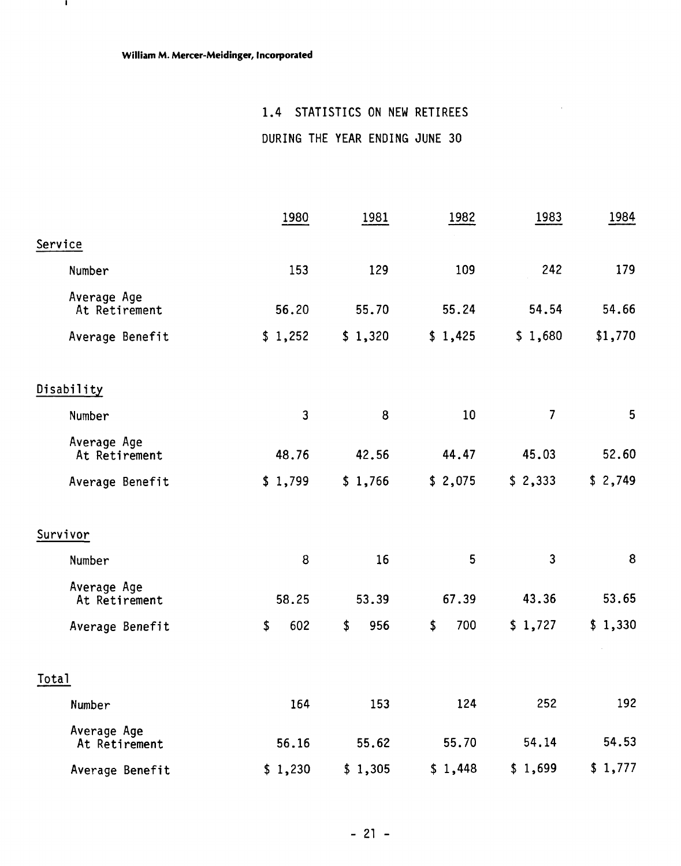$\mathbf{I}$ 

# 1.4 STATISTICS ON NEW RETIREES

 $\sim$   $\sim$ 

DURING THE YEAR ENDING JUNE 30

|                              | 1980           | 1981      | 1982      | 1983           | 1984    |
|------------------------------|----------------|-----------|-----------|----------------|---------|
| Service                      |                |           |           |                |         |
| Number                       | 153            | 129       | 109       | 242            | 179     |
| Average Age<br>At Retirement | 56.20          | 55.70     | 55.24     | 54.54          | 54.66   |
| Average Benefit              | \$1,252        | \$1,320   | \$1,425   | \$1,680        | \$1,770 |
| Disability                   |                |           |           |                |         |
| Number                       | $\overline{3}$ | 8         | 10        | $\overline{7}$ | 5       |
| Average Age<br>At Retirement | 48.76          | 42.56     | 44.47     | 45.03          | 52.60   |
| Average Benefit              | \$1,799        | \$1,766   | \$2,075   | \$2,333        | \$2,749 |
| Survivor                     |                |           |           |                |         |
| Number                       | 8              | 16        | 5         | 3              | 8       |
| Average Age<br>At Retirement | 58.25          | 53.39     | 67.39     | 43.36          | 53.65   |
| Average Benefit              | 602<br>\$      | 956<br>\$ | 700<br>\$ | \$1,727        | \$1,330 |
| Total                        |                |           |           |                |         |
| Number                       | 164            | 153       | 124       | 252            | 192     |
| Average Age<br>At Retirement | 56.16          | 55.62     | 55.70     | 54.14          | 54.53   |
| Average Benefit              | \$1,230        | \$1,305   | \$1,448   | \$1,699        | \$1,777 |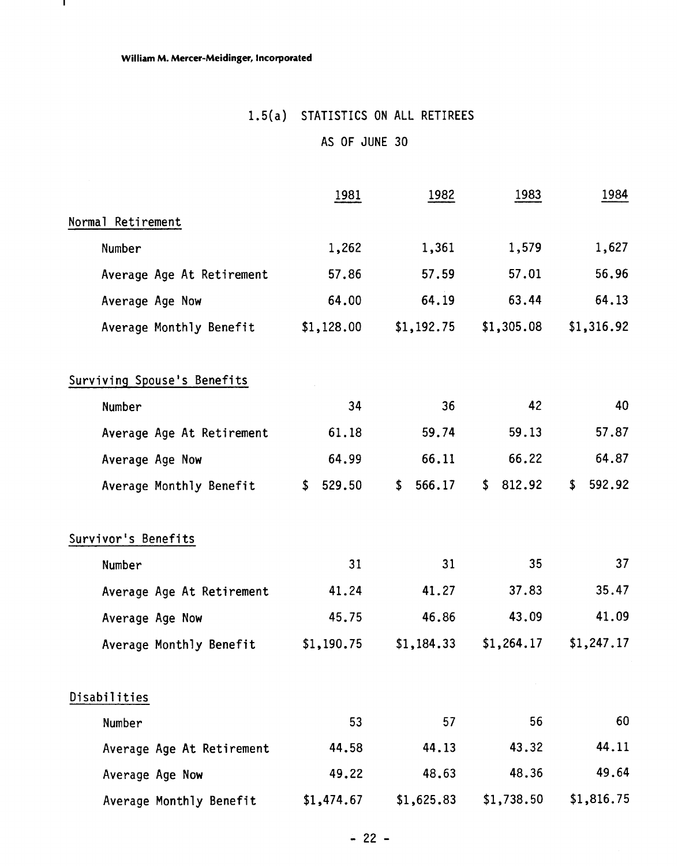$\mathbf{L}$ 

# 1.5(a) STATISTICS ON ALL RETIREES

# AS OF JUNE 30

|                             | 1981       | 1982         | 1983         | 1984         |
|-----------------------------|------------|--------------|--------------|--------------|
| Normal Retirement           |            |              |              |              |
| Number                      | 1,262      | 1,361        | 1,579        | 1,627        |
| Average Age At Retirement   | 57.86      | 57.59        | 57.01        | 56.96        |
| Average Age Now             | 64.00      | 64.19        | 63.44        | 64.13        |
| Average Monthly Benefit     | \$1,128.00 | \$1,192.75   | \$1,305.08   | \$1,316.92   |
| Surviving Spouse's Benefits |            |              |              |              |
| Number                      | 34         | 36           | 42           | 40           |
| Average Age At Retirement   | 61.18      | 59.74        | 59.13        | 57.87        |
| Average Age Now             | 64.99      | 66.11        | 66.22        | 64.87        |
| Average Monthly Benefit     | \$529.50   | \$<br>566.17 | \$<br>812.92 | 592.92<br>\$ |
| Survivor's Benefits         |            |              |              |              |
| Number                      | 31         | 31           | 35           | 37           |
| Average Age At Retirement   | 41.24      | 41.27        | 37.83        | 35.47        |
| Average Age Now             | 45.75      | 46.86        | 43.09        | 41.09        |
| Average Monthly Benefit     | \$1,190.75 | \$1,184.33   | \$1,264.17   | \$1,247.17   |
| Disabilities                |            |              |              |              |
| Number                      | 53         | 57           | 56           | 60           |
| Average Age At Retirement   | 44.58      | 44.13        | 43.32        | 44.11        |
| Average Age Now             | 49.22      | 48.63        | 48.36        | 49.64        |
| Average Monthly Benefit     | \$1,474.67 | \$1,625.83   | \$1,738.50   | \$1,816.75   |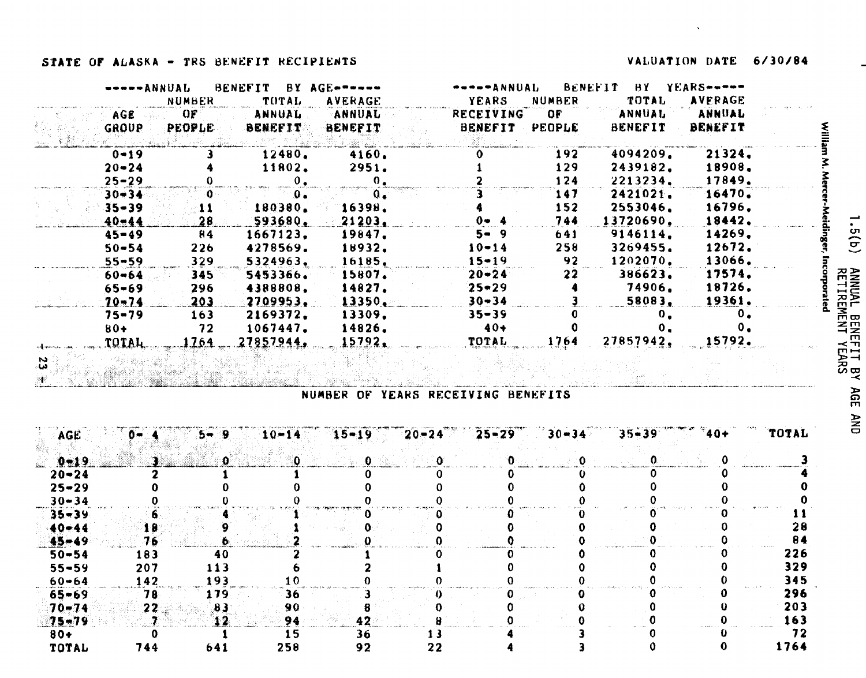# **STATE OF ALASKA - TRS BENEFIT RECIPIENTS VALUATION DATE 6/30/84**

یم

| -----ANNUAL  |                       | <b>BENEFIT</b> | BY AGE======   | -----ANNUAL      |               | BENEFIT        | BY YEARS-----  |  |
|--------------|-----------------------|----------------|----------------|------------------|---------------|----------------|----------------|--|
|              | <b>NUMBER</b>         | TUTAL          | <b>AVERAGE</b> | <b>YEARS</b>     | <b>NUMBER</b> | <b>TOTAL</b>   | <b>AVERAGE</b> |  |
| AGE.         | $\Omega$ $\mathbf{F}$ | <b>ANNUAL</b>  | <b>ANNUAL</b>  | <b>RECEIVING</b> | OF .          | ANNUAL         | ANNUAL         |  |
| GROUP        | <b>PEOPLE</b>         | <b>BENEFIT</b> | BENEFIT        | <b>BENEFIT</b>   | <b>PEOPLE</b> | <b>BENEFIT</b> | <b>BENEFIT</b> |  |
|              |                       |                |                |                  |               |                |                |  |
| $0 - 19$     |                       | 12480.         | 4160.          |                  | 192           | 4094209.       | 21324.         |  |
| $20 - 24$    |                       | 11802.         | 2951.          |                  | 129           | 2439182.       | 18908.         |  |
| $25 - 29$    |                       | $0$ .          | $\mathbf{0}$ . |                  | 124           | 2213234.       | 17849.         |  |
| $30 - 34$    |                       | .0.            | $Q_{\bullet}$  |                  | 147           | 2421021.       | 16470.         |  |
| $35 - 39$    | 11                    | 180380.        | 16398.         |                  | 152           | 2553046.       | 16796.         |  |
| $40 - 44$    | .28.                  | 593680.        | 21203.         | $0 - 4$          | 744           | 13720690.      | 18442.         |  |
| $45 - 49$    | 84                    | 1667123.       | 19847.         | 5-9              | 641           | 9146114.       | 14269.         |  |
| $50 - 54$    | 226                   | 4278569.       | 18932.         | $10 - 14$        | 258           | 3269455.       | 12672.         |  |
| $55 - 59$    | 329                   | 5324963.       | 16185.         | $15 - 19$        | 92            | 1202070.       | 13066.         |  |
| $60 - 64$    | 345                   | 5453366.       | 15807.         | $20 - 24$        | 22            | 386623.        | 17574.         |  |
| $65 - 69$    | 296                   | 4388808.       | 14827.         | $25 - 29$        |               | 74906.         | 18726.         |  |
| $70 - 74$    | 203                   | 2709953.       | 13350.         | $30 - 34$        |               | 58083.         | 19361.         |  |
| $75 - 79$    | 163                   | 2169372.       | 13309.         | $35 - 39$        |               | $\mathbf{0}$ . |                |  |
| $80+$        | 72                    | 1067447.       | 14826.         | $40+$            |               | υ.             |                |  |
| <b>TOTAL</b> | 1764                  | 27857944,      | 15792.         | TOTAL            | 1764          | 27857942.      | 15792.         |  |

| <u> 1998. – 1998. – 1999. – 1998. – 1999. – 1999. – 1999. – 1999. – 1999. – 1999. – 1999. – 1999. – 1999. – 1999.</u> |  |  | المصدوم السار |
|-----------------------------------------------------------------------------------------------------------------------|--|--|---------------|
| NUMBER OF YEARS RECEIVING BENEFITS                                                                                    |  |  |               |

| AGE.      | a-    | $5 - 9$ | $10 - 14$ | $15 - 19$ | $20 - 24$ | $-25 - 29$ | $30 - 34$ | $35 - 39$ | $40+$ | TOTAL |
|-----------|-------|---------|-----------|-----------|-----------|------------|-----------|-----------|-------|-------|
| $0 - 19$  |       |         | -0        |           |           |            |           |           |       |       |
| $20 - 24$ |       |         |           |           |           |            |           |           |       |       |
| $25 - 29$ |       |         |           |           |           |            |           |           |       |       |
| $30 - 34$ |       |         |           |           |           |            |           |           |       |       |
| $35 - 39$ |       |         |           |           |           |            |           |           |       |       |
| $40 - 44$ | 18    |         |           |           |           |            |           |           |       | 28    |
| $45 - 49$ | 76    |         |           |           |           |            |           |           |       | 84    |
| $50 - 54$ | 183   | 40      |           |           |           |            |           |           |       | 226   |
| $55 - 59$ | 207   | 113     |           |           |           |            |           |           |       | 329   |
| $60 - 64$ | 142   | 193     |           |           |           |            |           |           |       | 345   |
| $65 - 69$ | 78    | 179.    | 30        |           |           |            |           |           |       | 296   |
| $70 - 74$ | $22-$ | 83      | 90        |           |           |            |           |           |       | 203   |
| 75-79     |       | -2      | 94.       | 42.       |           |            |           |           |       | 163   |
| $80+$     |       |         | 15        | 36        |           |            |           |           |       | 72    |
| TOTAL     | 744   | 641     | 258       | 92        | 22        |            |           |           |       | 1764  |

 $(9)$   $5$   $\cdot$ ANNUAL BENEFIT BY AGE AND<br>RETIREMENT YEARS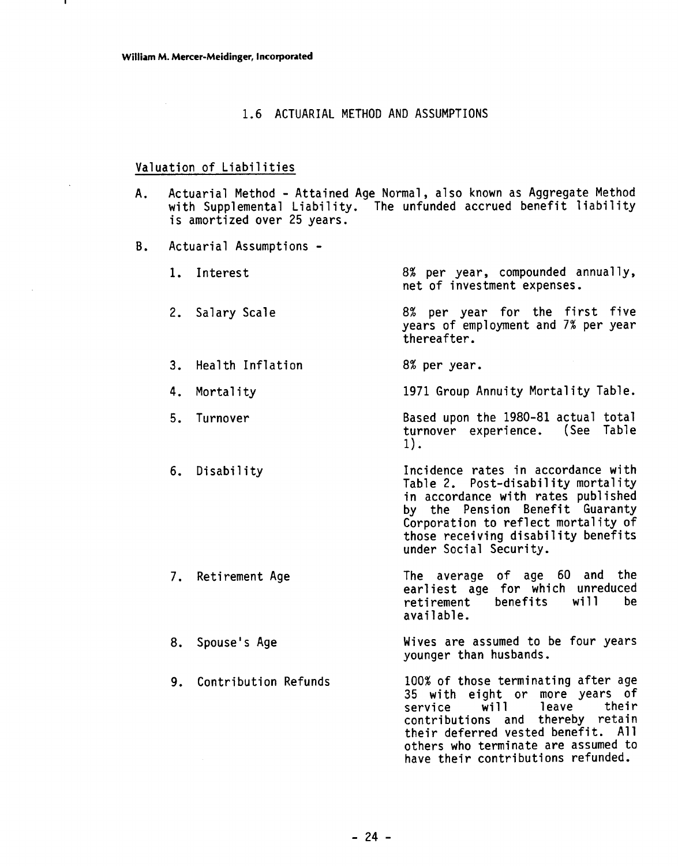J.

#### 1.6 ACTUARIAL METHOD AND ASSUMPTIONS

# Valuation of Liabilities

- A. Actuarial Method Attained Age Normal, also known as Aggregate Method<br>with Supplemental Liability. The unfunded accrued benefit liability<br>is amortized over 25 years.
- B. Actuarial Assumptions -

|    | 1. Interest             | 8% per year, compounded annually,<br>net of investment expenses.                                                                                                                                                                                          |  |  |  |
|----|-------------------------|-----------------------------------------------------------------------------------------------------------------------------------------------------------------------------------------------------------------------------------------------------------|--|--|--|
|    | 2. Salary Scale         | 8% per year for the first five<br>years of employment and 7% per year<br>thereafter.                                                                                                                                                                      |  |  |  |
|    | 3. Health Inflation     | 8% per year.                                                                                                                                                                                                                                              |  |  |  |
| 4. | Mortality               | 1971 Group Annuity Mortality Table.                                                                                                                                                                                                                       |  |  |  |
| 5. | Turnover                | Based upon the 1980-81 actual total<br>turnover experience. (See Table<br>$1$ .                                                                                                                                                                           |  |  |  |
|    | 6. Disability           | Incidence rates in accordance with<br>Table 2. Post-disability mortality<br>in accordance with rates published<br>by the Pension Benefit Guaranty<br>Corporation to reflect mortality of<br>those receiving disability benefits<br>under Social Security. |  |  |  |
|    | 7. Retirement Age       | The average of age 60 and the<br>earliest age for which unreduced<br>will<br>benefits<br>be<br>retirement<br>available.                                                                                                                                   |  |  |  |
|    | 8. Spouse's Age         | Wives are assumed to be four years<br>younger than husbands.                                                                                                                                                                                              |  |  |  |
|    | 9. Contribution Refunds | 100% of those terminating after age<br>35 with eight or more years of<br>w11<br>leave<br>their<br>service                                                                                                                                                 |  |  |  |

contributions and thereby retain their deferred vested benefit. All others who terminate are assumed to have their contributions refunded.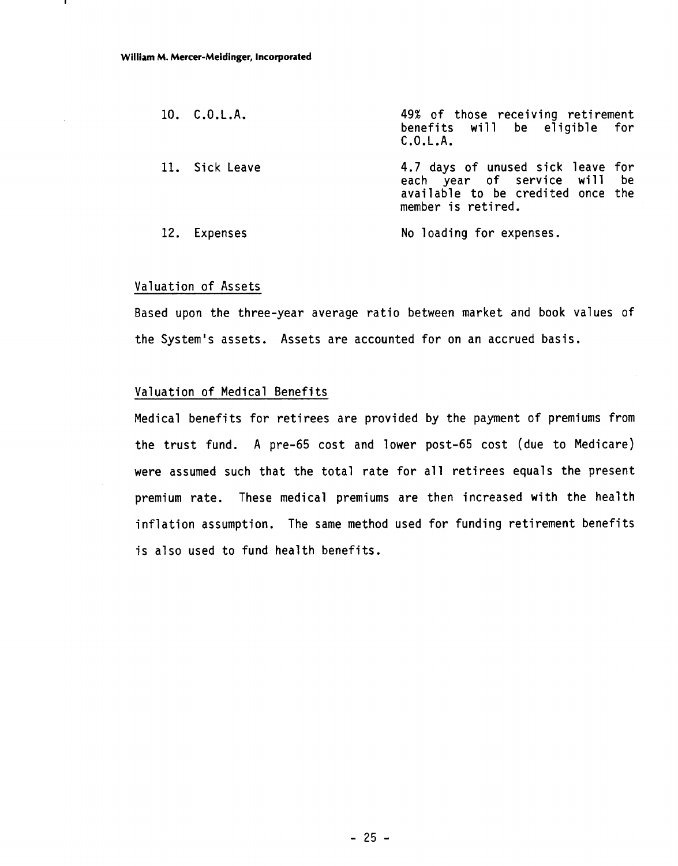| 10. C.0.L.A.   | 49% of those receiving retirement<br>benefits will be eligible for<br>C.0.L.A.                                               |
|----------------|------------------------------------------------------------------------------------------------------------------------------|
| 11. Sick Leave | 4.7 days of unused sick leave for<br>each year of service will be<br>available to be credited once the<br>member is retired. |
| 12. Expenses   | No loading for expenses.                                                                                                     |

#### Valuation of Assets

Based upon the three-year average ratio between market and book values of the System's assets. Assets are accounted for on an accrued basis.

#### Valuation of Medical Benefits

Medical benefits for retirees are provided by the payment of premiums from the trust fund. A pre-65 cost and lower post-65 cost (due to Medicare) were assumed such that the total rate for all retirees equals the present premium rate. These medical premiums are then increased with the health inflation assumption. The same method used for funding retirement benefits is also used to fund health benefits.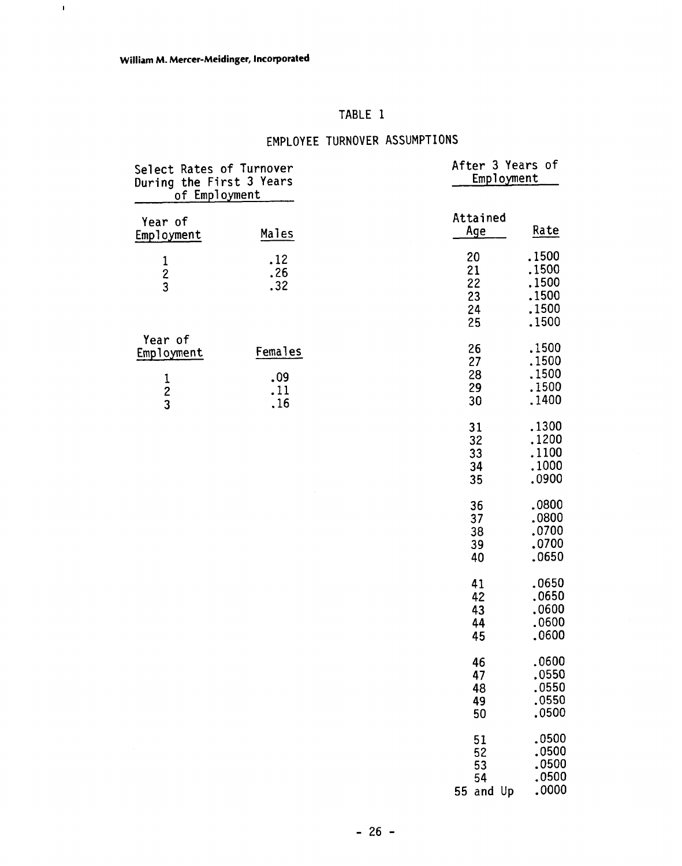$\mathbf{I}$ 

# TABLE 1

# EMPLOYEE TURNOVER ASSUMPTIONS

| Select Rates of Turnover<br>During the First 3 Years<br>of Employment |                              | After 3 Years of<br>Employment    |                                                    |
|-----------------------------------------------------------------------|------------------------------|-----------------------------------|----------------------------------------------------|
| Year of<br>Employment                                                 | Males                        | Attained<br><u>Age</u>            | Rate                                               |
| $\frac{1}{2}$                                                         | .12<br>.26<br>.32            | 20<br>21<br>22<br>23<br>24<br>25  | .1500<br>.1500<br>.1500<br>.1500<br>.1500<br>.1500 |
| Year of<br>Employment<br>$\frac{1}{2}$                                | Females<br>.09<br>.11<br>.16 | 26<br>27<br>28<br>29<br>30        | .1500<br>.1500<br>.1500<br>.1500<br>.1400          |
|                                                                       |                              | 31<br>32<br>33<br>34<br>35        | .1300<br>.1200<br>.1100<br>.1000<br>.0900          |
|                                                                       |                              | 36<br>37<br>38<br>39<br>40        | .0800<br>.0800<br>.0700<br>.0700<br>.0650          |
|                                                                       |                              | 41<br>42<br>43<br>44<br>45        | .0650<br>.0650<br>,0600<br>.0600<br>.0600          |
|                                                                       |                              | 46<br>47<br>48<br>49<br>50        | .0600<br>.0550<br>.0550<br>.0550<br>.0500          |
|                                                                       |                              | 51<br>52<br>53<br>54<br>55 and Up | .0500<br>.0500<br>.0500<br>,0500<br>.0000          |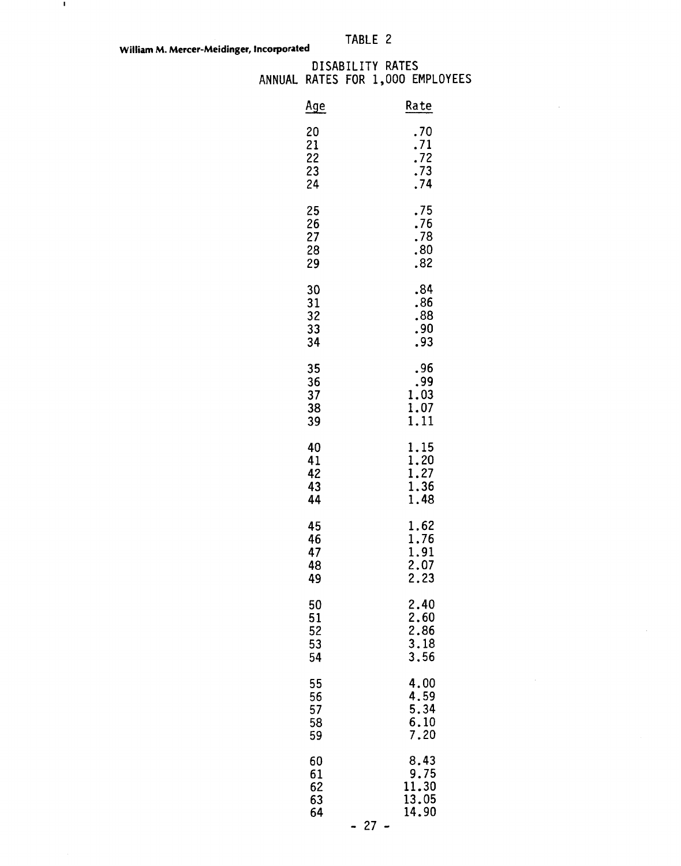$\blacksquare$ 

#### DISABILITY RATES ANNUAL RATES FOR 1,000 EMPLOYEES

| <u>Age</u>                              |    | Rate                                    |
|-----------------------------------------|----|-----------------------------------------|
| 20<br>21<br>22<br>23<br>24              |    | .70<br>.71<br>.72<br>.73<br>.74         |
| 25<br>26<br>27<br>28<br>29              |    | .75<br>.76<br>.78<br>.80<br>.82         |
| 30<br>31<br>32<br>33<br>34              |    | .84<br>.86<br>.88<br>.90<br>.93         |
| 35<br>36<br>37<br>38<br>39              |    | .96<br>.99<br>1.03<br>1.07<br>1.11      |
| 40<br>41<br>42<br>43<br>44              |    | 1.15<br>1.20<br>1.27<br>1.36<br>1.48    |
| 45<br>46<br>47<br>48<br>49              |    | 1.62<br>1.76<br>1.91<br>2.07<br>2.23    |
| 50<br>51<br>$5\overline{2}$<br>53<br>54 |    | 2.40<br>2.60<br>2.86<br>3.18<br>3.56    |
| 55<br>56<br>57<br>58<br>59              |    | 4.00<br>4.59<br>5.34<br>6.10<br>7.20    |
| 60<br>61<br>62<br>63<br>64              | 27 | 8.43<br>9.75<br>11.30<br>13.05<br>14.90 |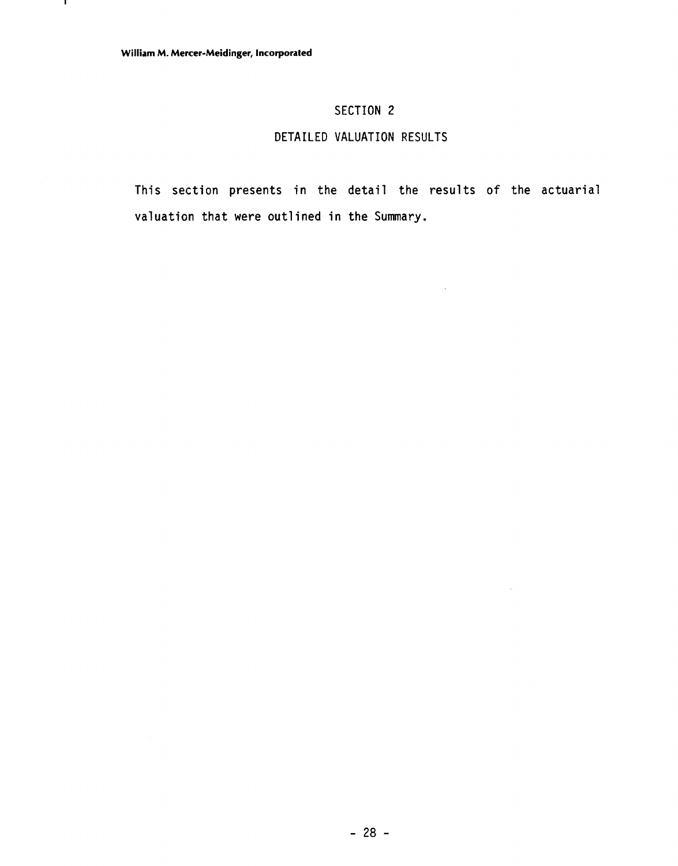$\mathbf{I}$ 

# SECTION 2

## DETAILED VALUATION RESULTS

This section presents in the detail the results of the actuarial valuation that were outlined in the Summary.

 $\hat{\mathcal{A}}$ 

 $\bar{\mathcal{L}}$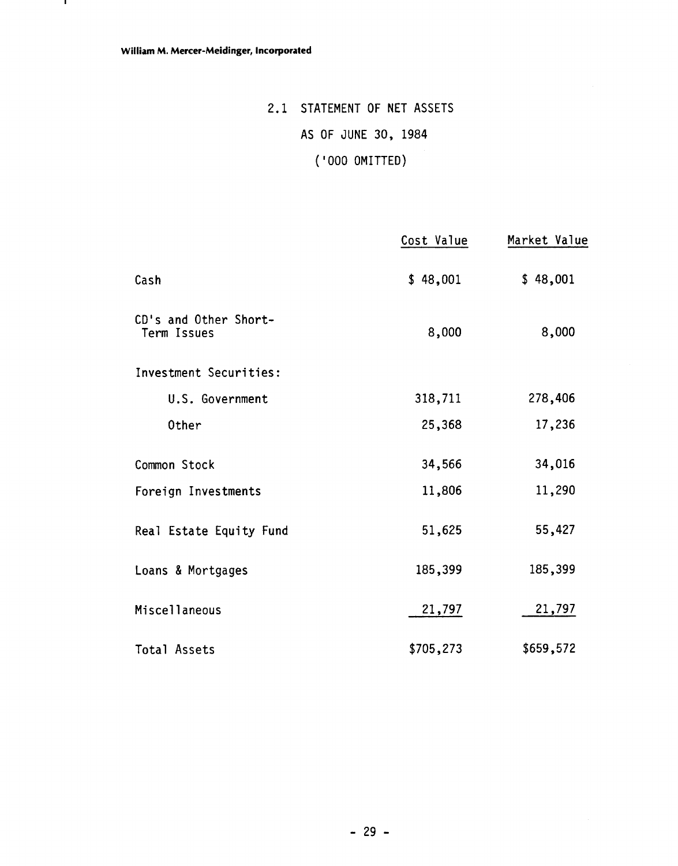$\mathbf{I}$ 

# 2.1 STATEMENT OF NET ASSETS AS OF JUNE 30, 1984

# ( ' 000 OMITTED)

|                                      | Cost Value | Market Value |
|--------------------------------------|------------|--------------|
| Cash                                 | \$48,001   | \$48,001     |
| CD's and Other Short-<br>Term Issues | 8,000      | 8,000        |
| Investment Securities:               |            |              |
| U.S. Government                      | 318,711    | 278,406      |
| Other                                | 25,368     | 17,236       |
| Common Stock                         | 34,566     | 34,016       |
| Foreign Investments                  | 11,806     | 11,290       |
| Real Estate Equity Fund              | 51,625     | 55,427       |
| Loans & Mortgages                    | 185,399    | 185,399      |
| <b>Miscellaneous</b>                 | 21,797     | 21,797       |
| <b>Total Assets</b>                  | \$705,273  | \$659,572    |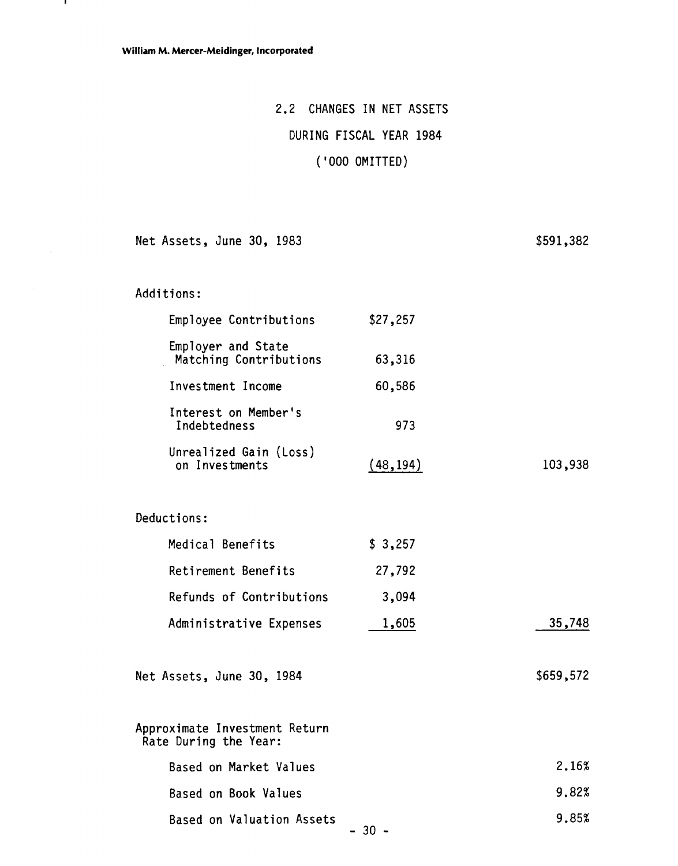# 2.2 CHANGES IN NET ASSETS

# DURING FISCAL YEAR 1984

# ( ' 000 OMITTED)

Net Assets, June 30, 1983

\$591,382

| Additions: |  |  |  |  |
|------------|--|--|--|--|
|------------|--|--|--|--|

 $\mathbf{I}$ 

 $\sim 10$ 

 $\hat{\mathcal{A}}$ 

| Employee Contributions                       | \$27,257  |           |
|----------------------------------------------|-----------|-----------|
| Employer and State<br>Matching Contributions | 63,316    |           |
| Investment Income                            | 60,586    |           |
| Interest on Member's<br>Indebtedness         | 973       |           |
| Unrealized Gain (Loss)<br>on Investments     | (48, 194) | 103,938   |
| Deductions:                                  |           |           |
| Medical Benefits                             | \$3,257   |           |
| Retirement Benefits                          | 27,792    |           |
| Refunds of Contributions                     | 3,094     |           |
| Administrative Expenses                      | 1,605     | 35,748    |
| Net Assets, June 30, 1984                    |           | \$659,572 |
|                                              |           |           |

| Approximate Investment Return<br>Rate During the Year: |       |
|--------------------------------------------------------|-------|
| Based on Market Values                                 | 2.16% |
| Based on Book Values                                   | 9.82% |
| Based on Valuation Assets                              | 9.85% |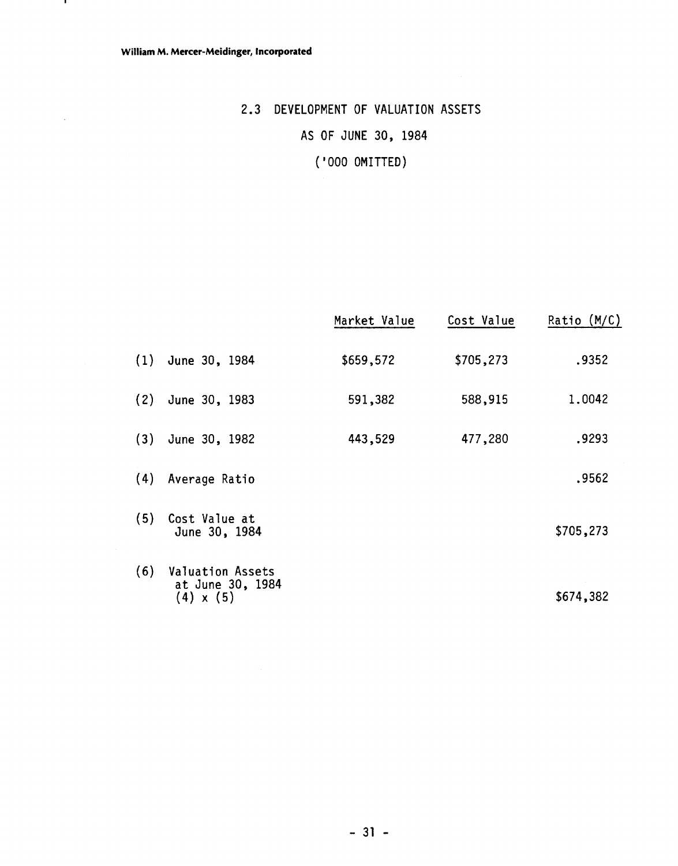$\mathbf{I}$ 

 $\bar{\beta}$ 

# 2.3 DEVELOPMENT OF VALUATION ASSETS AS OF JUNE 30, 1984 ( ' 000 OMITTED)

|     |                                                          | Market Value | Cost Value | Ratio (M/C) |
|-----|----------------------------------------------------------|--------------|------------|-------------|
| (1) | June 30, 1984                                            | \$659,572    | \$705,273  | .9352       |
| (2) | June 30, 1983                                            | 591,382      | 588,915    | 1.0042      |
| (3) | June 30, 1982                                            | 443,529      | 477,280    | .9293       |
| (4) | Average Ratio                                            |              |            | .9562       |
| (5) | Cost Value at<br>June 30, 1984                           |              |            | \$705,273   |
| (6) | Valuation Assets<br>at June 30, 1984<br>$(4) \times (5)$ |              |            | \$674,382   |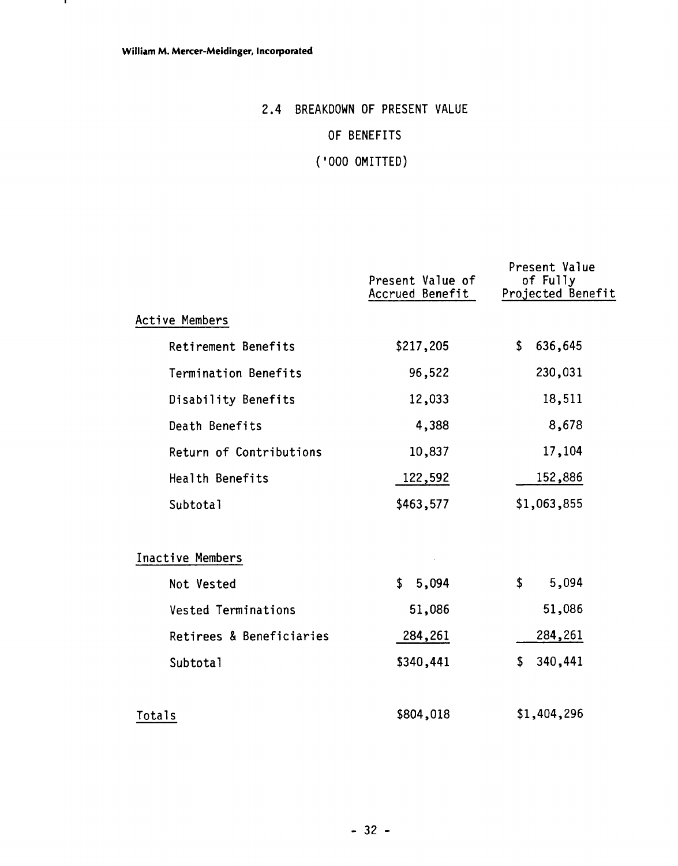$\mathbf{L}$ 

# 2.4 BREAKDOWN OF PRESENT VALUE OF BENEFITS

( '000 OMITTED)

|                            | Present Value of<br>Accrued Benefit | Present Value<br>of Fully<br>Projected Benefit |
|----------------------------|-------------------------------------|------------------------------------------------|
| Active Members             |                                     |                                                |
| Retirement Benefits        | \$217,205                           | \$<br>636,645                                  |
| Termination Benefits       | 96,522                              | 230,031                                        |
| Disability Benefits        | 12,033                              | 18,511                                         |
| Death Benefits             | 4,388                               | 8,678                                          |
| Return of Contributions    | 10,837                              | 17,104                                         |
| Health Benefits            | 122,592                             | 152,886                                        |
| Subtotal                   | \$463,577                           | \$1,063,855                                    |
| <b>Inactive Members</b>    |                                     |                                                |
| Not Vested                 | \$5,094                             | \$<br>5,094                                    |
| <b>Vested Terminations</b> | 51,086                              | 51,086                                         |
| Retirees & Beneficiaries   | 284,261                             | 284,261                                        |
| Subtotal                   | \$340,441                           | 340,441<br>\$                                  |
| Totals                     | \$804,018                           | \$1,404,296                                    |